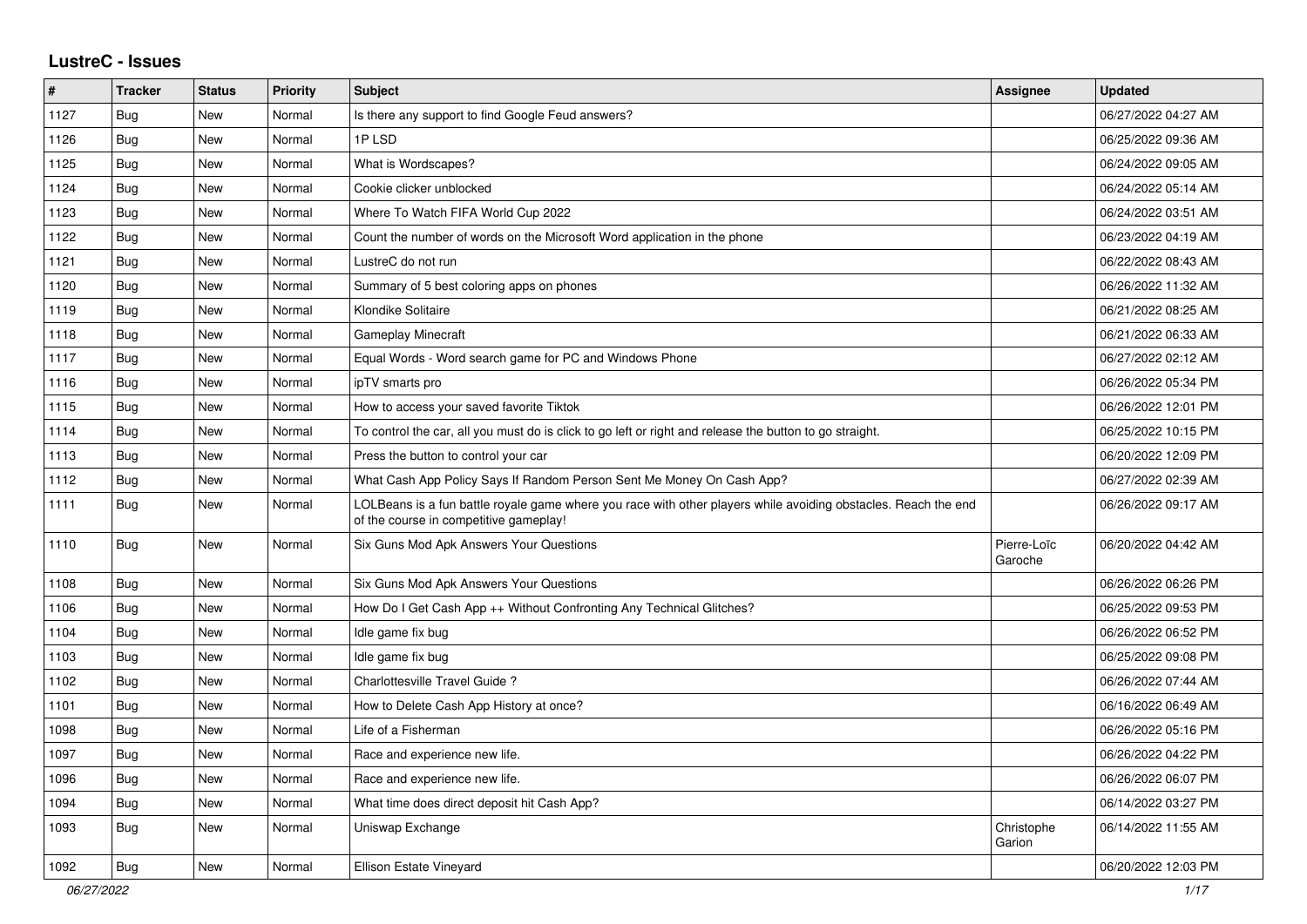## **LustreC - Issues**

| $\vert$ # | <b>Tracker</b> | <b>Status</b> | <b>Priority</b> | <b>Subject</b>                                                                                                                                           | <b>Assignee</b>        | <b>Updated</b>      |
|-----------|----------------|---------------|-----------------|----------------------------------------------------------------------------------------------------------------------------------------------------------|------------------------|---------------------|
| 1127      | <b>Bug</b>     | <b>New</b>    | Normal          | Is there any support to find Google Feud answers?                                                                                                        |                        | 06/27/2022 04:27 AM |
| 1126      | Bug            | New           | Normal          | 1PLSD                                                                                                                                                    |                        | 06/25/2022 09:36 AM |
| 1125      | <b>Bug</b>     | <b>New</b>    | Normal          | What is Wordscapes?                                                                                                                                      |                        | 06/24/2022 09:05 AM |
| 1124      | Bug            | New           | Normal          | Cookie clicker unblocked                                                                                                                                 |                        | 06/24/2022 05:14 AM |
| 1123      | <b>Bug</b>     | New           | Normal          | Where To Watch FIFA World Cup 2022                                                                                                                       |                        | 06/24/2022 03:51 AM |
| 1122      | <b>Bug</b>     | New           | Normal          | Count the number of words on the Microsoft Word application in the phone                                                                                 |                        | 06/23/2022 04:19 AM |
| 1121      | <b>Bug</b>     | New           | Normal          | LustreC do not run                                                                                                                                       |                        | 06/22/2022 08:43 AM |
| 1120      | Bug            | <b>New</b>    | Normal          | Summary of 5 best coloring apps on phones                                                                                                                |                        | 06/26/2022 11:32 AM |
| 1119      | <b>Bug</b>     | New           | Normal          | Klondike Solitaire                                                                                                                                       |                        | 06/21/2022 08:25 AM |
| 1118      | Bug            | New           | Normal          | Gameplay Minecraft                                                                                                                                       |                        | 06/21/2022 06:33 AM |
| 1117      | Bug            | New           | Normal          | Equal Words - Word search game for PC and Windows Phone                                                                                                  |                        | 06/27/2022 02:12 AM |
| 1116      | Bug            | <b>New</b>    | Normal          | ipTV smarts pro                                                                                                                                          |                        | 06/26/2022 05:34 PM |
| 1115      | <b>Bug</b>     | <b>New</b>    | Normal          | How to access your saved favorite Tiktok                                                                                                                 |                        | 06/26/2022 12:01 PM |
| 1114      | Bug            | New           | Normal          | To control the car, all you must do is click to go left or right and release the button to go straight.                                                  |                        | 06/25/2022 10:15 PM |
| 1113      | <b>Bug</b>     | <b>New</b>    | Normal          | Press the button to control your car                                                                                                                     |                        | 06/20/2022 12:09 PM |
| 1112      | Bug            | <b>New</b>    | Normal          | What Cash App Policy Says If Random Person Sent Me Money On Cash App?                                                                                    |                        | 06/27/2022 02:39 AM |
| 1111      | Bug            | <b>New</b>    | Normal          | LOLBeans is a fun battle royale game where you race with other players while avoiding obstacles. Reach the end<br>of the course in competitive gameplay! |                        | 06/26/2022 09:17 AM |
| 1110      | Bug            | <b>New</b>    | Normal          | Six Guns Mod Apk Answers Your Questions                                                                                                                  | Pierre-Loïc<br>Garoche | 06/20/2022 04:42 AM |
| 1108      | <b>Bug</b>     | <b>New</b>    | Normal          | Six Guns Mod Apk Answers Your Questions                                                                                                                  |                        | 06/26/2022 06:26 PM |
| 1106      | Bug            | <b>New</b>    | Normal          | How Do I Get Cash App ++ Without Confronting Any Technical Glitches?                                                                                     |                        | 06/25/2022 09:53 PM |
| 1104      | <b>Bug</b>     | <b>New</b>    | Normal          | Idle game fix bug                                                                                                                                        |                        | 06/26/2022 06:52 PM |
| 1103      | <b>Bug</b>     | New           | Normal          | Idle game fix bug                                                                                                                                        |                        | 06/25/2022 09:08 PM |
| 1102      | Bug            | New           | Normal          | Charlottesville Travel Guide?                                                                                                                            |                        | 06/26/2022 07:44 AM |
| 1101      | <b>Bug</b>     | New           | Normal          | How to Delete Cash App History at once?                                                                                                                  |                        | 06/16/2022 06:49 AM |
| 1098      | <b>Bug</b>     | New           | Normal          | Life of a Fisherman                                                                                                                                      |                        | 06/26/2022 05:16 PM |
| 1097      | <b>Bug</b>     | New           | Normal          | Race and experience new life.                                                                                                                            |                        | 06/26/2022 04:22 PM |
| 1096      | Bug            | <b>New</b>    | Normal          | Race and experience new life.                                                                                                                            |                        | 06/26/2022 06:07 PM |
| 1094      | <b>Bug</b>     | <b>New</b>    | Normal          | What time does direct deposit hit Cash App?                                                                                                              |                        | 06/14/2022 03:27 PM |
| 1093      | <b>Bug</b>     | New           | Normal          | Uniswap Exchange                                                                                                                                         | Christophe<br>Garion   | 06/14/2022 11:55 AM |
| 1092      | <b>Bug</b>     | <b>New</b>    | Normal          | <b>Ellison Estate Vineyard</b>                                                                                                                           |                        | 06/20/2022 12:03 PM |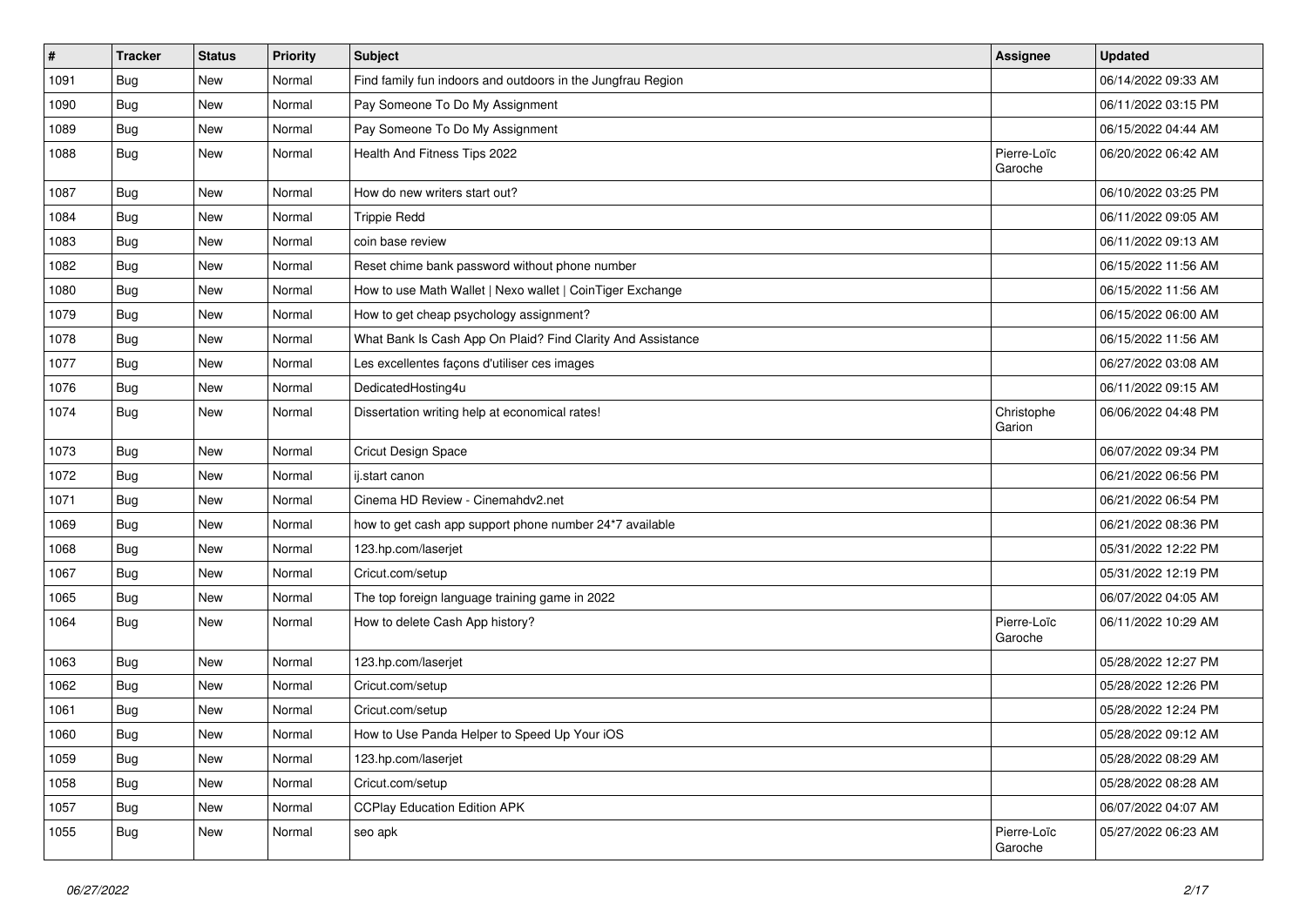| $\pmb{\#}$ | <b>Tracker</b> | <b>Status</b> | <b>Priority</b> | Subject                                                     | Assignee               | <b>Updated</b>      |
|------------|----------------|---------------|-----------------|-------------------------------------------------------------|------------------------|---------------------|
| 1091       | Bug            | New           | Normal          | Find family fun indoors and outdoors in the Jungfrau Region |                        | 06/14/2022 09:33 AM |
| 1090       | Bug            | <b>New</b>    | Normal          | Pay Someone To Do My Assignment                             |                        | 06/11/2022 03:15 PM |
| 1089       | <b>Bug</b>     | New           | Normal          | Pay Someone To Do My Assignment                             |                        | 06/15/2022 04:44 AM |
| 1088       | <b>Bug</b>     | New           | Normal          | Health And Fitness Tips 2022                                | Pierre-Loïc<br>Garoche | 06/20/2022 06:42 AM |
| 1087       | Bug            | <b>New</b>    | Normal          | How do new writers start out?                               |                        | 06/10/2022 03:25 PM |
| 1084       | <b>Bug</b>     | <b>New</b>    | Normal          | <b>Trippie Redd</b>                                         |                        | 06/11/2022 09:05 AM |
| 1083       | <b>Bug</b>     | New           | Normal          | coin base review                                            |                        | 06/11/2022 09:13 AM |
| 1082       | <b>Bug</b>     | <b>New</b>    | Normal          | Reset chime bank password without phone number              |                        | 06/15/2022 11:56 AM |
| 1080       | <b>Bug</b>     | <b>New</b>    | Normal          | How to use Math Wallet   Nexo wallet   CoinTiger Exchange   |                        | 06/15/2022 11:56 AM |
| 1079       | <b>Bug</b>     | New           | Normal          | How to get cheap psychology assignment?                     |                        | 06/15/2022 06:00 AM |
| 1078       | <b>Bug</b>     | New           | Normal          | What Bank Is Cash App On Plaid? Find Clarity And Assistance |                        | 06/15/2022 11:56 AM |
| 1077       | <b>Bug</b>     | <b>New</b>    | Normal          | Les excellentes façons d'utiliser ces images                |                        | 06/27/2022 03:08 AM |
| 1076       | <b>Bug</b>     | <b>New</b>    | Normal          | DedicatedHosting4u                                          |                        | 06/11/2022 09:15 AM |
| 1074       | <b>Bug</b>     | New           | Normal          | Dissertation writing help at economical rates!              | Christophe<br>Garion   | 06/06/2022 04:48 PM |
| 1073       | <b>Bug</b>     | <b>New</b>    | Normal          | Cricut Design Space                                         |                        | 06/07/2022 09:34 PM |
| 1072       | Bug            | <b>New</b>    | Normal          | ij.start canon                                              |                        | 06/21/2022 06:56 PM |
| 1071       | <b>Bug</b>     | New           | Normal          | Cinema HD Review - Cinemahdv2.net                           |                        | 06/21/2022 06:54 PM |
| 1069       | Bug            | <b>New</b>    | Normal          | how to get cash app support phone number 24*7 available     |                        | 06/21/2022 08:36 PM |
| 1068       | <b>Bug</b>     | <b>New</b>    | Normal          | 123.hp.com/laserjet                                         |                        | 05/31/2022 12:22 PM |
| 1067       | <b>Bug</b>     | <b>New</b>    | Normal          | Cricut.com/setup                                            |                        | 05/31/2022 12:19 PM |
| 1065       | <b>Bug</b>     | <b>New</b>    | Normal          | The top foreign language training game in 2022              |                        | 06/07/2022 04:05 AM |
| 1064       | <b>Bug</b>     | New           | Normal          | How to delete Cash App history?                             | Pierre-Loïc<br>Garoche | 06/11/2022 10:29 AM |
| 1063       | <b>Bug</b>     | New           | Normal          | 123.hp.com/laserjet                                         |                        | 05/28/2022 12:27 PM |
| 1062       | <b>Bug</b>     | New           | Normal          | Cricut.com/setup                                            |                        | 05/28/2022 12:26 PM |
| 1061       | <b>Bug</b>     | New           | Normal          | Cricut.com/setup                                            |                        | 05/28/2022 12:24 PM |
| 1060       | Bug            | New           | Normal          | How to Use Panda Helper to Speed Up Your iOS                |                        | 05/28/2022 09:12 AM |
| 1059       | Bug            | New           | Normal          | 123.hp.com/laserjet                                         |                        | 05/28/2022 08:29 AM |
| 1058       | Bug            | New           | Normal          | Cricut.com/setup                                            |                        | 05/28/2022 08:28 AM |
| 1057       | Bug            | New           | Normal          | <b>CCPlay Education Edition APK</b>                         |                        | 06/07/2022 04:07 AM |
| 1055       | Bug            | New           | Normal          | seo apk                                                     | Pierre-Loïc<br>Garoche | 05/27/2022 06:23 AM |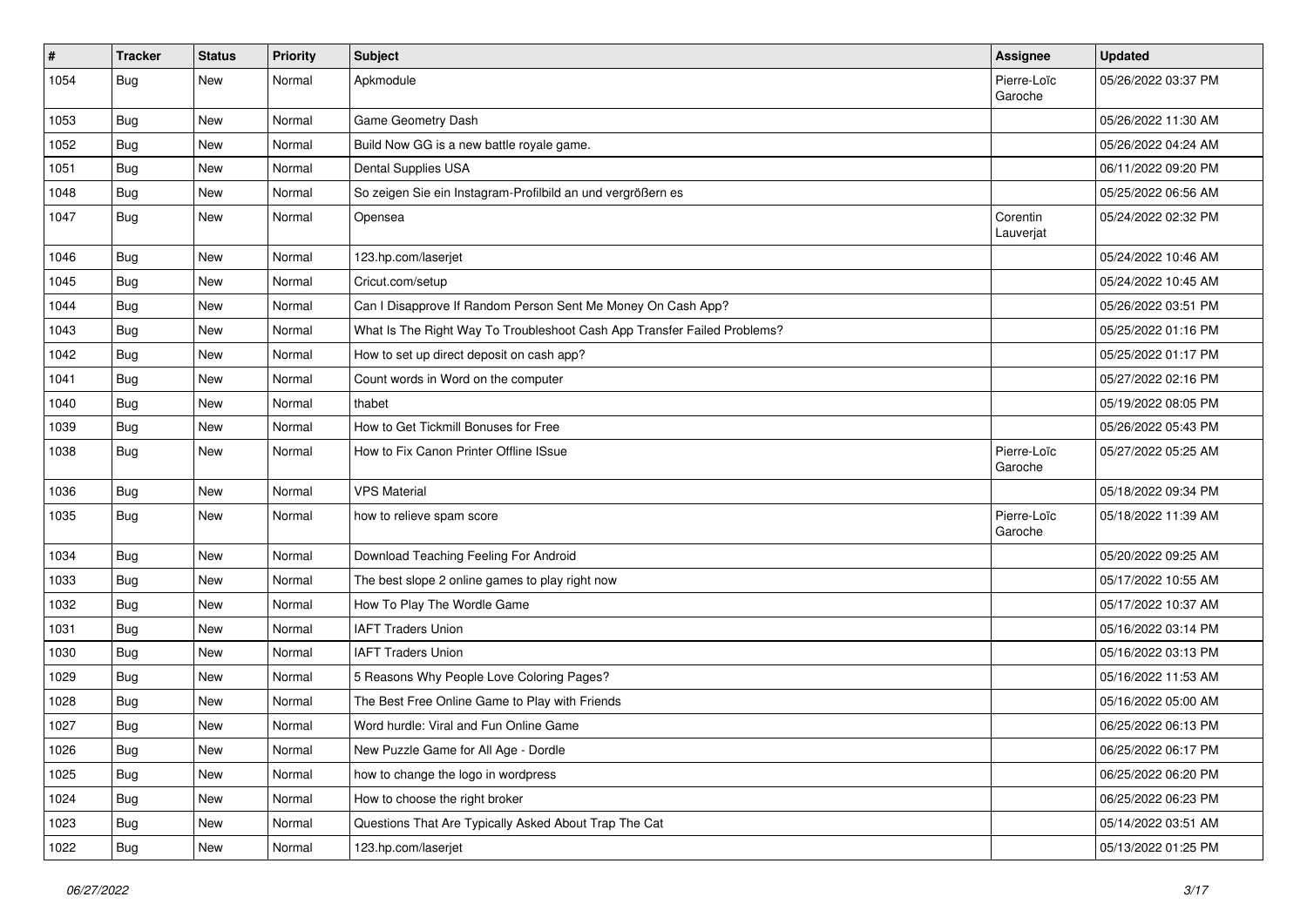| #    | <b>Tracker</b> | <b>Status</b> | <b>Priority</b> | <b>Subject</b>                                                           | Assignee               | <b>Updated</b>      |
|------|----------------|---------------|-----------------|--------------------------------------------------------------------------|------------------------|---------------------|
| 1054 | Bug            | New           | Normal          | Apkmodule                                                                | Pierre-Loïc<br>Garoche | 05/26/2022 03:37 PM |
| 1053 | Bug            | <b>New</b>    | Normal          | Game Geometry Dash                                                       |                        | 05/26/2022 11:30 AM |
| 1052 | Bug            | <b>New</b>    | Normal          | Build Now GG is a new battle royale game.                                |                        | 05/26/2022 04:24 AM |
| 1051 | <b>Bug</b>     | <b>New</b>    | Normal          | Dental Supplies USA                                                      |                        | 06/11/2022 09:20 PM |
| 1048 | Bug            | New           | Normal          | So zeigen Sie ein Instagram-Profilbild an und vergrößern es              |                        | 05/25/2022 06:56 AM |
| 1047 | Bug            | New           | Normal          | Opensea                                                                  | Corentin<br>Lauverjat  | 05/24/2022 02:32 PM |
| 1046 | Bug            | <b>New</b>    | Normal          | 123.hp.com/laserjet                                                      |                        | 05/24/2022 10:46 AM |
| 1045 | <b>Bug</b>     | <b>New</b>    | Normal          | Cricut.com/setup                                                         |                        | 05/24/2022 10:45 AM |
| 1044 | Bug            | <b>New</b>    | Normal          | Can I Disapprove If Random Person Sent Me Money On Cash App?             |                        | 05/26/2022 03:51 PM |
| 1043 | Bug            | <b>New</b>    | Normal          | What Is The Right Way To Troubleshoot Cash App Transfer Failed Problems? |                        | 05/25/2022 01:16 PM |
| 1042 | <b>Bug</b>     | <b>New</b>    | Normal          | How to set up direct deposit on cash app?                                |                        | 05/25/2022 01:17 PM |
| 1041 | <b>Bug</b>     | <b>New</b>    | Normal          | Count words in Word on the computer                                      |                        | 05/27/2022 02:16 PM |
| 1040 | Bug            | <b>New</b>    | Normal          | thabet                                                                   |                        | 05/19/2022 08:05 PM |
| 1039 | Bug            | New           | Normal          | How to Get Tickmill Bonuses for Free                                     |                        | 05/26/2022 05:43 PM |
| 1038 | Bug            | New           | Normal          | How to Fix Canon Printer Offline ISsue                                   | Pierre-Loïc<br>Garoche | 05/27/2022 05:25 AM |
| 1036 | Bug            | New           | Normal          | <b>VPS Material</b>                                                      |                        | 05/18/2022 09:34 PM |
| 1035 | Bug            | New           | Normal          | how to relieve spam score                                                | Pierre-Loïc<br>Garoche | 05/18/2022 11:39 AM |
| 1034 | <b>Bug</b>     | <b>New</b>    | Normal          | Download Teaching Feeling For Android                                    |                        | 05/20/2022 09:25 AM |
| 1033 | Bug            | <b>New</b>    | Normal          | The best slope 2 online games to play right now                          |                        | 05/17/2022 10:55 AM |
| 1032 | Bug            | New           | Normal          | How To Play The Wordle Game                                              |                        | 05/17/2022 10:37 AM |
| 1031 | Bug            | <b>New</b>    | Normal          | <b>IAFT Traders Union</b>                                                |                        | 05/16/2022 03:14 PM |
| 1030 | <b>Bug</b>     | <b>New</b>    | Normal          | <b>IAFT Traders Union</b>                                                |                        | 05/16/2022 03:13 PM |
| 1029 | <b>Bug</b>     | New           | Normal          | 5 Reasons Why People Love Coloring Pages?                                |                        | 05/16/2022 11:53 AM |
| 1028 | <b>Bug</b>     | New           | Normal          | The Best Free Online Game to Play with Friends                           |                        | 05/16/2022 05:00 AM |
| 1027 | Bug            | New           | Normal          | Word hurdle: Viral and Fun Online Game                                   |                        | 06/25/2022 06:13 PM |
| 1026 | <b>Bug</b>     | New           | Normal          | New Puzzle Game for All Age - Dordle                                     |                        | 06/25/2022 06:17 PM |
| 1025 | Bug            | New           | Normal          | how to change the logo in wordpress                                      |                        | 06/25/2022 06:20 PM |
| 1024 | <b>Bug</b>     | New           | Normal          | How to choose the right broker                                           |                        | 06/25/2022 06:23 PM |
| 1023 | Bug            | New           | Normal          | Questions That Are Typically Asked About Trap The Cat                    |                        | 05/14/2022 03:51 AM |
| 1022 | <b>Bug</b>     | New           | Normal          | 123.hp.com/laserjet                                                      |                        | 05/13/2022 01:25 PM |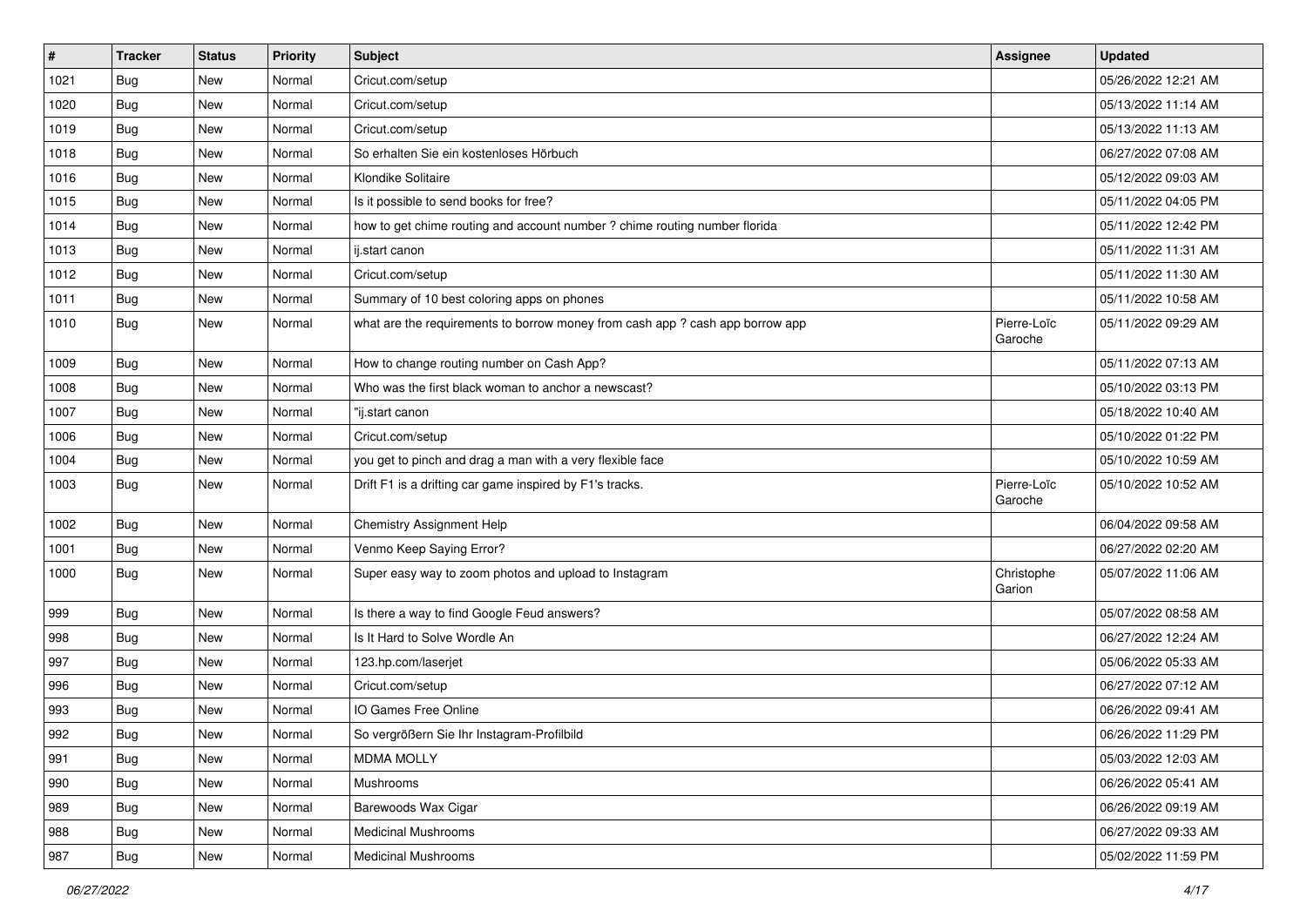| $\vert$ # | <b>Tracker</b> | <b>Status</b> | Priority | <b>Subject</b>                                                                | <b>Assignee</b>        | <b>Updated</b>      |
|-----------|----------------|---------------|----------|-------------------------------------------------------------------------------|------------------------|---------------------|
| 1021      | Bug            | New           | Normal   | Cricut.com/setup                                                              |                        | 05/26/2022 12:21 AM |
| 1020      | <b>Bug</b>     | <b>New</b>    | Normal   | Cricut.com/setup                                                              |                        | 05/13/2022 11:14 AM |
| 1019      | <b>Bug</b>     | New           | Normal   | Cricut.com/setup                                                              |                        | 05/13/2022 11:13 AM |
| 1018      | <b>Bug</b>     | New           | Normal   | So erhalten Sie ein kostenloses Hörbuch                                       |                        | 06/27/2022 07:08 AM |
| 1016      | <b>Bug</b>     | <b>New</b>    | Normal   | Klondike Solitaire                                                            |                        | 05/12/2022 09:03 AM |
| 1015      | <b>Bug</b>     | New           | Normal   | Is it possible to send books for free?                                        |                        | 05/11/2022 04:05 PM |
| 1014      | Bug            | New           | Normal   | how to get chime routing and account number ? chime routing number florida    |                        | 05/11/2022 12:42 PM |
| 1013      | Bug            | New           | Normal   | ij.start canon                                                                |                        | 05/11/2022 11:31 AM |
| 1012      | <b>Bug</b>     | New           | Normal   | Cricut.com/setup                                                              |                        | 05/11/2022 11:30 AM |
| 1011      | Bug            | <b>New</b>    | Normal   | Summary of 10 best coloring apps on phones                                    |                        | 05/11/2022 10:58 AM |
| 1010      | Bug            | New           | Normal   | what are the requirements to borrow money from cash app ? cash app borrow app | Pierre-Loïc<br>Garoche | 05/11/2022 09:29 AM |
| 1009      | <b>Bug</b>     | <b>New</b>    | Normal   | How to change routing number on Cash App?                                     |                        | 05/11/2022 07:13 AM |
| 1008      | Bug            | New           | Normal   | Who was the first black woman to anchor a newscast?                           |                        | 05/10/2022 03:13 PM |
| 1007      | Bug            | New           | Normal   | "ij.start canon                                                               |                        | 05/18/2022 10:40 AM |
| 1006      | Bug            | New           | Normal   | Cricut.com/setup                                                              |                        | 05/10/2022 01:22 PM |
| 1004      | <b>Bug</b>     | New           | Normal   | you get to pinch and drag a man with a very flexible face                     |                        | 05/10/2022 10:59 AM |
| 1003      | Bug            | <b>New</b>    | Normal   | Drift F1 is a drifting car game inspired by F1's tracks.                      | Pierre-Loïc<br>Garoche | 05/10/2022 10:52 AM |
| 1002      | Bug            | <b>New</b>    | Normal   | <b>Chemistry Assignment Help</b>                                              |                        | 06/04/2022 09:58 AM |
| 1001      | Bug            | <b>New</b>    | Normal   | Venmo Keep Saying Error?                                                      |                        | 06/27/2022 02:20 AM |
| 1000      | Bug            | New           | Normal   | Super easy way to zoom photos and upload to Instagram                         | Christophe<br>Garion   | 05/07/2022 11:06 AM |
| 999       | Bug            | New           | Normal   | Is there a way to find Google Feud answers?                                   |                        | 05/07/2022 08:58 AM |
| 998       | <b>Bug</b>     | New           | Normal   | Is It Hard to Solve Wordle An                                                 |                        | 06/27/2022 12:24 AM |
| 997       | <b>Bug</b>     | <b>New</b>    | Normal   | 123.hp.com/laserjet                                                           |                        | 05/06/2022 05:33 AM |
| 996       | <b>Bug</b>     | New           | Normal   | Cricut.com/setup                                                              |                        | 06/27/2022 07:12 AM |
| 993       | <b>Bug</b>     | New           | Normal   | IO Games Free Online                                                          |                        | 06/26/2022 09:41 AM |
| 992       | Bug            | New           | Normal   | So vergrößern Sie Ihr Instagram-Profilbild                                    |                        | 06/26/2022 11:29 PM |
| 991       | <b>Bug</b>     | New           | Normal   | <b>MDMA MOLLY</b>                                                             |                        | 05/03/2022 12:03 AM |
| 990       | <b>Bug</b>     | New           | Normal   | Mushrooms                                                                     |                        | 06/26/2022 05:41 AM |
| 989       | <b>Bug</b>     | New           | Normal   | Barewoods Wax Cigar                                                           |                        | 06/26/2022 09:19 AM |
| 988       | <b>Bug</b>     | New           | Normal   | <b>Medicinal Mushrooms</b>                                                    |                        | 06/27/2022 09:33 AM |
| 987       | <b>Bug</b>     | New           | Normal   | <b>Medicinal Mushrooms</b>                                                    |                        | 05/02/2022 11:59 PM |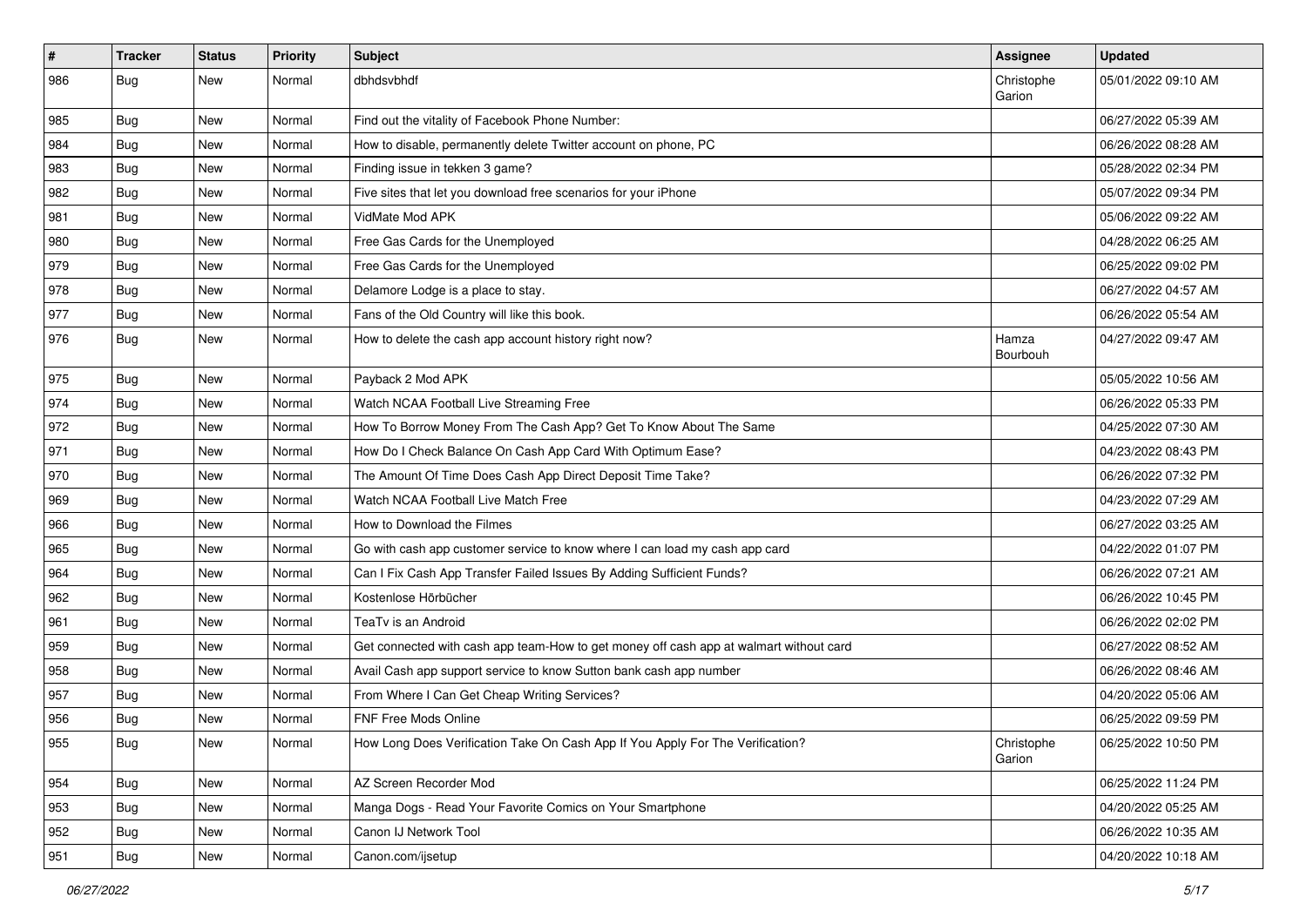| $\vert$ # | <b>Tracker</b> | <b>Status</b> | Priority | <b>Subject</b>                                                                         | <b>Assignee</b>      | <b>Updated</b>      |
|-----------|----------------|---------------|----------|----------------------------------------------------------------------------------------|----------------------|---------------------|
| 986       | Bug            | New           | Normal   | dbhdsvbhdf                                                                             | Christophe<br>Garion | 05/01/2022 09:10 AM |
| 985       | Bug            | New           | Normal   | Find out the vitality of Facebook Phone Number:                                        |                      | 06/27/2022 05:39 AM |
| 984       | <b>Bug</b>     | New           | Normal   | How to disable, permanently delete Twitter account on phone, PC                        |                      | 06/26/2022 08:28 AM |
| 983       | Bug            | <b>New</b>    | Normal   | Finding issue in tekken 3 game?                                                        |                      | 05/28/2022 02:34 PM |
| 982       | <b>Bug</b>     | New           | Normal   | Five sites that let you download free scenarios for your iPhone                        |                      | 05/07/2022 09:34 PM |
| 981       | <b>Bug</b>     | New           | Normal   | VidMate Mod APK                                                                        |                      | 05/06/2022 09:22 AM |
| 980       | <b>Bug</b>     | New           | Normal   | Free Gas Cards for the Unemployed                                                      |                      | 04/28/2022 06:25 AM |
| 979       | <b>Bug</b>     | New           | Normal   | Free Gas Cards for the Unemployed                                                      |                      | 06/25/2022 09:02 PM |
| 978       | <b>Bug</b>     | New           | Normal   | Delamore Lodge is a place to stay.                                                     |                      | 06/27/2022 04:57 AM |
| 977       | <b>Bug</b>     | New           | Normal   | Fans of the Old Country will like this book.                                           |                      | 06/26/2022 05:54 AM |
| 976       | <b>Bug</b>     | New           | Normal   | How to delete the cash app account history right now?                                  | Hamza<br>Bourbouh    | 04/27/2022 09:47 AM |
| 975       | <b>Bug</b>     | New           | Normal   | Payback 2 Mod APK                                                                      |                      | 05/05/2022 10:56 AM |
| 974       | Bug            | New           | Normal   | Watch NCAA Football Live Streaming Free                                                |                      | 06/26/2022 05:33 PM |
| 972       | Bug            | New           | Normal   | How To Borrow Money From The Cash App? Get To Know About The Same                      |                      | 04/25/2022 07:30 AM |
| 971       | Bug            | New           | Normal   | How Do I Check Balance On Cash App Card With Optimum Ease?                             |                      | 04/23/2022 08:43 PM |
| 970       | Bug            | <b>New</b>    | Normal   | The Amount Of Time Does Cash App Direct Deposit Time Take?                             |                      | 06/26/2022 07:32 PM |
| 969       | <b>Bug</b>     | New           | Normal   | Watch NCAA Football Live Match Free                                                    |                      | 04/23/2022 07:29 AM |
| 966       | Bug            | <b>New</b>    | Normal   | How to Download the Filmes                                                             |                      | 06/27/2022 03:25 AM |
| 965       | <b>Bug</b>     | New           | Normal   | Go with cash app customer service to know where I can load my cash app card            |                      | 04/22/2022 01:07 PM |
| 964       | <b>Bug</b>     | New           | Normal   | Can I Fix Cash App Transfer Failed Issues By Adding Sufficient Funds?                  |                      | 06/26/2022 07:21 AM |
| 962       | Bug            | <b>New</b>    | Normal   | Kostenlose Hörbücher                                                                   |                      | 06/26/2022 10:45 PM |
| 961       | <b>Bug</b>     | New           | Normal   | TeaTv is an Android                                                                    |                      | 06/26/2022 02:02 PM |
| 959       | <b>Bug</b>     | New           | Normal   | Get connected with cash app team-How to get money off cash app at walmart without card |                      | 06/27/2022 08:52 AM |
| 958       | <b>Bug</b>     | <b>New</b>    | Normal   | Avail Cash app support service to know Sutton bank cash app number                     |                      | 06/26/2022 08:46 AM |
| 957       | <b>Bug</b>     | New           | Normal   | From Where I Can Get Cheap Writing Services?                                           |                      | 04/20/2022 05:06 AM |
| 956       | <b>Bug</b>     | New           | Normal   | <b>FNF Free Mods Online</b>                                                            |                      | 06/25/2022 09:59 PM |
| 955       | <b>Bug</b>     | New           | Normal   | How Long Does Verification Take On Cash App If You Apply For The Verification?         | Christophe<br>Garion | 06/25/2022 10:50 PM |
| 954       | Bug            | New           | Normal   | AZ Screen Recorder Mod                                                                 |                      | 06/25/2022 11:24 PM |
| 953       | Bug            | New           | Normal   | Manga Dogs - Read Your Favorite Comics on Your Smartphone                              |                      | 04/20/2022 05:25 AM |
| 952       | <b>Bug</b>     | New           | Normal   | Canon IJ Network Tool                                                                  |                      | 06/26/2022 10:35 AM |
| 951       | <b>Bug</b>     | New           | Normal   | Canon.com/ijsetup                                                                      |                      | 04/20/2022 10:18 AM |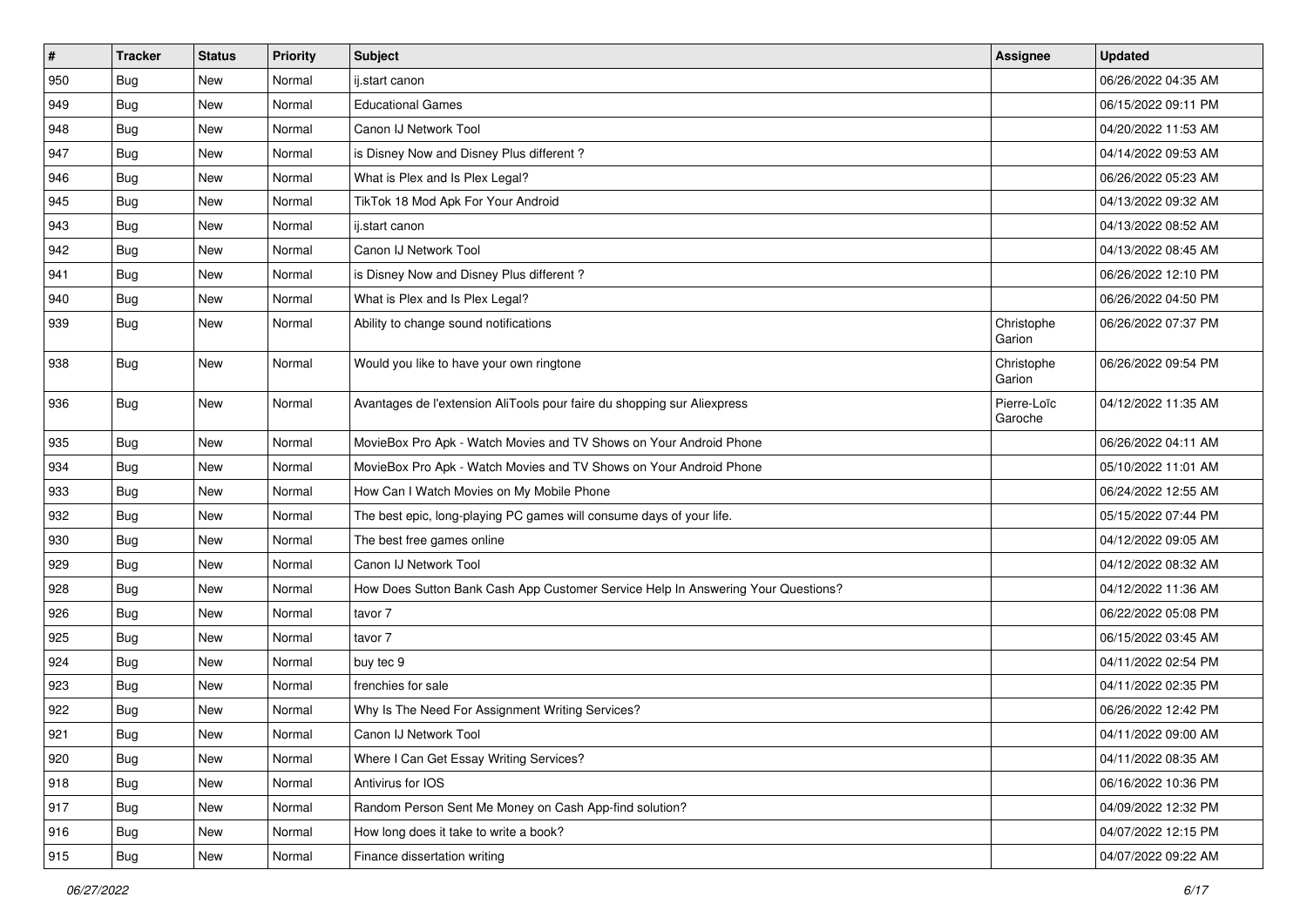| $\vert$ #     | <b>Tracker</b> | <b>Status</b> | Priority | <b>Subject</b>                                                                   | Assignee               | <b>Updated</b>      |
|---------------|----------------|---------------|----------|----------------------------------------------------------------------------------|------------------------|---------------------|
| 950           | Bug            | New           | Normal   | ij.start canon                                                                   |                        | 06/26/2022 04:35 AM |
| 949           | <b>Bug</b>     | New           | Normal   | <b>Educational Games</b>                                                         |                        | 06/15/2022 09:11 PM |
| 948           | <b>Bug</b>     | New           | Normal   | Canon IJ Network Tool                                                            |                        | 04/20/2022 11:53 AM |
| 947           | <b>Bug</b>     | New           | Normal   | is Disney Now and Disney Plus different?                                         |                        | 04/14/2022 09:53 AM |
| 946           | Bug            | <b>New</b>    | Normal   | What is Plex and Is Plex Legal?                                                  |                        | 06/26/2022 05:23 AM |
| 945           | Bug            | New           | Normal   | TikTok 18 Mod Apk For Your Android                                               |                        | 04/13/2022 09:32 AM |
| 943           | <b>Bug</b>     | New           | Normal   | ij.start canon                                                                   |                        | 04/13/2022 08:52 AM |
| 942           | <b>Bug</b>     | New           | Normal   | Canon IJ Network Tool                                                            |                        | 04/13/2022 08:45 AM |
| 941           | <b>Bug</b>     | New           | Normal   | is Disney Now and Disney Plus different?                                         |                        | 06/26/2022 12:10 PM |
| $ 940\rangle$ | Bug            | <b>New</b>    | Normal   | What is Plex and Is Plex Legal?                                                  |                        | 06/26/2022 04:50 PM |
| 939           | Bug            | New           | Normal   | Ability to change sound notifications                                            | Christophe<br>Garion   | 06/26/2022 07:37 PM |
| 938           | Bug            | <b>New</b>    | Normal   | Would you like to have your own ringtone                                         | Christophe<br>Garion   | 06/26/2022 09:54 PM |
| 936           | Bug            | New           | Normal   | Avantages de l'extension AliTools pour faire du shopping sur Aliexpress          | Pierre-Loïc<br>Garoche | 04/12/2022 11:35 AM |
| 935           | Bug            | New           | Normal   | MovieBox Pro Apk - Watch Movies and TV Shows on Your Android Phone               |                        | 06/26/2022 04:11 AM |
| 934           | Bug            | New           | Normal   | MovieBox Pro Apk - Watch Movies and TV Shows on Your Android Phone               |                        | 05/10/2022 11:01 AM |
| 933           | Bug            | New           | Normal   | How Can I Watch Movies on My Mobile Phone                                        |                        | 06/24/2022 12:55 AM |
| 932           | <b>Bug</b>     | New           | Normal   | The best epic, long-playing PC games will consume days of your life.             |                        | 05/15/2022 07:44 PM |
| 930           | Bug            | <b>New</b>    | Normal   | The best free games online                                                       |                        | 04/12/2022 09:05 AM |
| 929           | <b>Bug</b>     | New           | Normal   | Canon IJ Network Tool                                                            |                        | 04/12/2022 08:32 AM |
| 928           | <b>Bug</b>     | New           | Normal   | How Does Sutton Bank Cash App Customer Service Help In Answering Your Questions? |                        | 04/12/2022 11:36 AM |
| 926           | <b>Bug</b>     | New           | Normal   | tavor 7                                                                          |                        | 06/22/2022 05:08 PM |
| 925           | <b>Bug</b>     | New           | Normal   | tavor 7                                                                          |                        | 06/15/2022 03:45 AM |
| 924           | Bug            | <b>New</b>    | Normal   | buy tec 9                                                                        |                        | 04/11/2022 02:54 PM |
| 923           | <b>Bug</b>     | New           | Normal   | frenchies for sale                                                               |                        | 04/11/2022 02:35 PM |
| 922           | <b>Bug</b>     | New           | Normal   | Why Is The Need For Assignment Writing Services?                                 |                        | 06/26/2022 12:42 PM |
| 921           | <b>Bug</b>     | New           | Normal   | Canon IJ Network Tool                                                            |                        | 04/11/2022 09:00 AM |
| 920           | <b>Bug</b>     | New           | Normal   | Where I Can Get Essay Writing Services?                                          |                        | 04/11/2022 08:35 AM |
| 918           | <b>Bug</b>     | New           | Normal   | Antivirus for IOS                                                                |                        | 06/16/2022 10:36 PM |
| 917           | Bug            | New           | Normal   | Random Person Sent Me Money on Cash App-find solution?                           |                        | 04/09/2022 12:32 PM |
| 916           | Bug            | New           | Normal   | How long does it take to write a book?                                           |                        | 04/07/2022 12:15 PM |
| 915           | <b>Bug</b>     | New           | Normal   | Finance dissertation writing                                                     |                        | 04/07/2022 09:22 AM |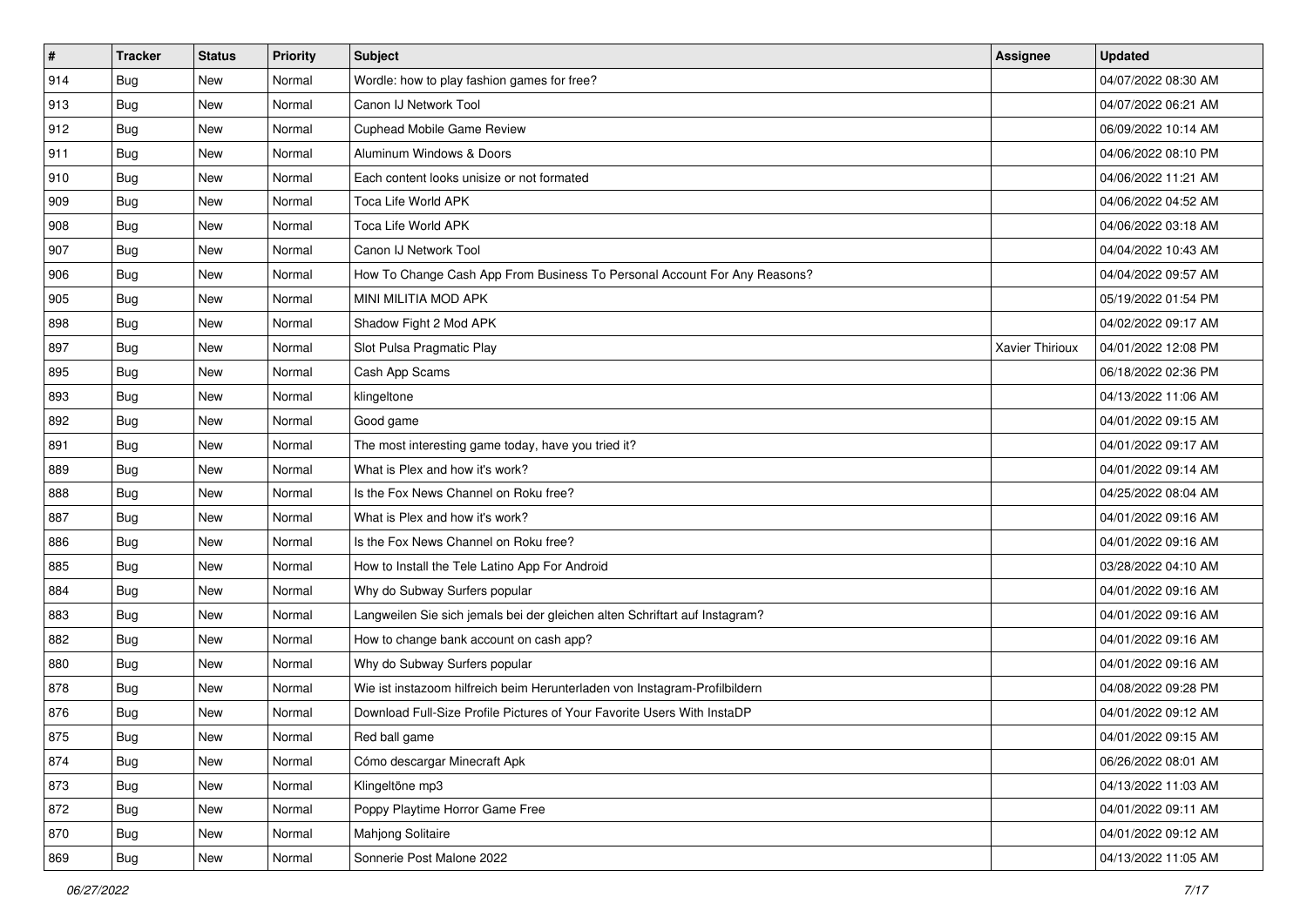| $\vert$ # | <b>Tracker</b> | <b>Status</b> | Priority | <b>Subject</b>                                                              | <b>Assignee</b> | <b>Updated</b>      |
|-----------|----------------|---------------|----------|-----------------------------------------------------------------------------|-----------------|---------------------|
| 914       | <b>Bug</b>     | New           | Normal   | Wordle: how to play fashion games for free?                                 |                 | 04/07/2022 08:30 AM |
| 913       | Bug            | <b>New</b>    | Normal   | Canon IJ Network Tool                                                       |                 | 04/07/2022 06:21 AM |
| 912       | Bug            | New           | Normal   | Cuphead Mobile Game Review                                                  |                 | 06/09/2022 10:14 AM |
| 911       | <b>Bug</b>     | New           | Normal   | Aluminum Windows & Doors                                                    |                 | 04/06/2022 08:10 PM |
| 910       | Bug            | <b>New</b>    | Normal   | Each content looks unisize or not formated                                  |                 | 04/06/2022 11:21 AM |
| 909       | <b>Bug</b>     | New           | Normal   | Toca Life World APK                                                         |                 | 04/06/2022 04:52 AM |
| 908       | Bug            | New           | Normal   | Toca Life World APK                                                         |                 | 04/06/2022 03:18 AM |
| 907       | Bug            | <b>New</b>    | Normal   | Canon IJ Network Tool                                                       |                 | 04/04/2022 10:43 AM |
| 906       | <b>Bug</b>     | New           | Normal   | How To Change Cash App From Business To Personal Account For Any Reasons?   |                 | 04/04/2022 09:57 AM |
| 905       | Bug            | <b>New</b>    | Normal   | MINI MILITIA MOD APK                                                        |                 | 05/19/2022 01:54 PM |
| 898       | Bug            | New           | Normal   | Shadow Fight 2 Mod APK                                                      |                 | 04/02/2022 09:17 AM |
| 897       | <b>Bug</b>     | New           | Normal   | Slot Pulsa Pragmatic Play                                                   | Xavier Thirioux | 04/01/2022 12:08 PM |
| 895       | Bug            | <b>New</b>    | Normal   | Cash App Scams                                                              |                 | 06/18/2022 02:36 PM |
| 893       | <b>Bug</b>     | New           | Normal   | klingeltone                                                                 |                 | 04/13/2022 11:06 AM |
| 892       | Bug            | <b>New</b>    | Normal   | Good game                                                                   |                 | 04/01/2022 09:15 AM |
| 891       | Bug            | New           | Normal   | The most interesting game today, have you tried it?                         |                 | 04/01/2022 09:17 AM |
| 889       | Bug            | New           | Normal   | What is Plex and how it's work?                                             |                 | 04/01/2022 09:14 AM |
| 888       | Bug            | <b>New</b>    | Normal   | Is the Fox News Channel on Roku free?                                       |                 | 04/25/2022 08:04 AM |
| 887       | <b>Bug</b>     | New           | Normal   | What is Plex and how it's work?                                             |                 | 04/01/2022 09:16 AM |
| 886       | Bug            | <b>New</b>    | Normal   | Is the Fox News Channel on Roku free?                                       |                 | 04/01/2022 09:16 AM |
| 885       | Bug            | New           | Normal   | How to Install the Tele Latino App For Android                              |                 | 03/28/2022 04:10 AM |
| 884       | <b>Bug</b>     | New           | Normal   | Why do Subway Surfers popular                                               |                 | 04/01/2022 09:16 AM |
| 883       | Bug            | <b>New</b>    | Normal   | Langweilen Sie sich jemals bei der gleichen alten Schriftart auf Instagram? |                 | 04/01/2022 09:16 AM |
| 882       | Bug            | New           | Normal   | How to change bank account on cash app?                                     |                 | 04/01/2022 09:16 AM |
| 880       | <b>Bug</b>     | New           | Normal   | Why do Subway Surfers popular                                               |                 | 04/01/2022 09:16 AM |
| 878       | <b>Bug</b>     | New           | Normal   | Wie ist instazoom hilfreich beim Herunterladen von Instagram-Profilbildern  |                 | 04/08/2022 09:28 PM |
| 876       | <b>Bug</b>     | New           | Normal   | Download Full-Size Profile Pictures of Your Favorite Users With InstaDP     |                 | 04/01/2022 09:12 AM |
| 875       | <b>Bug</b>     | New           | Normal   | Red ball game                                                               |                 | 04/01/2022 09:15 AM |
| 874       | <b>Bug</b>     | New           | Normal   | Cómo descargar Minecraft Apk                                                |                 | 06/26/2022 08:01 AM |
| 873       | <b>Bug</b>     | New           | Normal   | Klingeltöne mp3                                                             |                 | 04/13/2022 11:03 AM |
| 872       | Bug            | New           | Normal   | Poppy Playtime Horror Game Free                                             |                 | 04/01/2022 09:11 AM |
| 870       | <b>Bug</b>     | New           | Normal   | Mahjong Solitaire                                                           |                 | 04/01/2022 09:12 AM |
| 869       | <b>Bug</b>     | New           | Normal   | Sonnerie Post Malone 2022                                                   |                 | 04/13/2022 11:05 AM |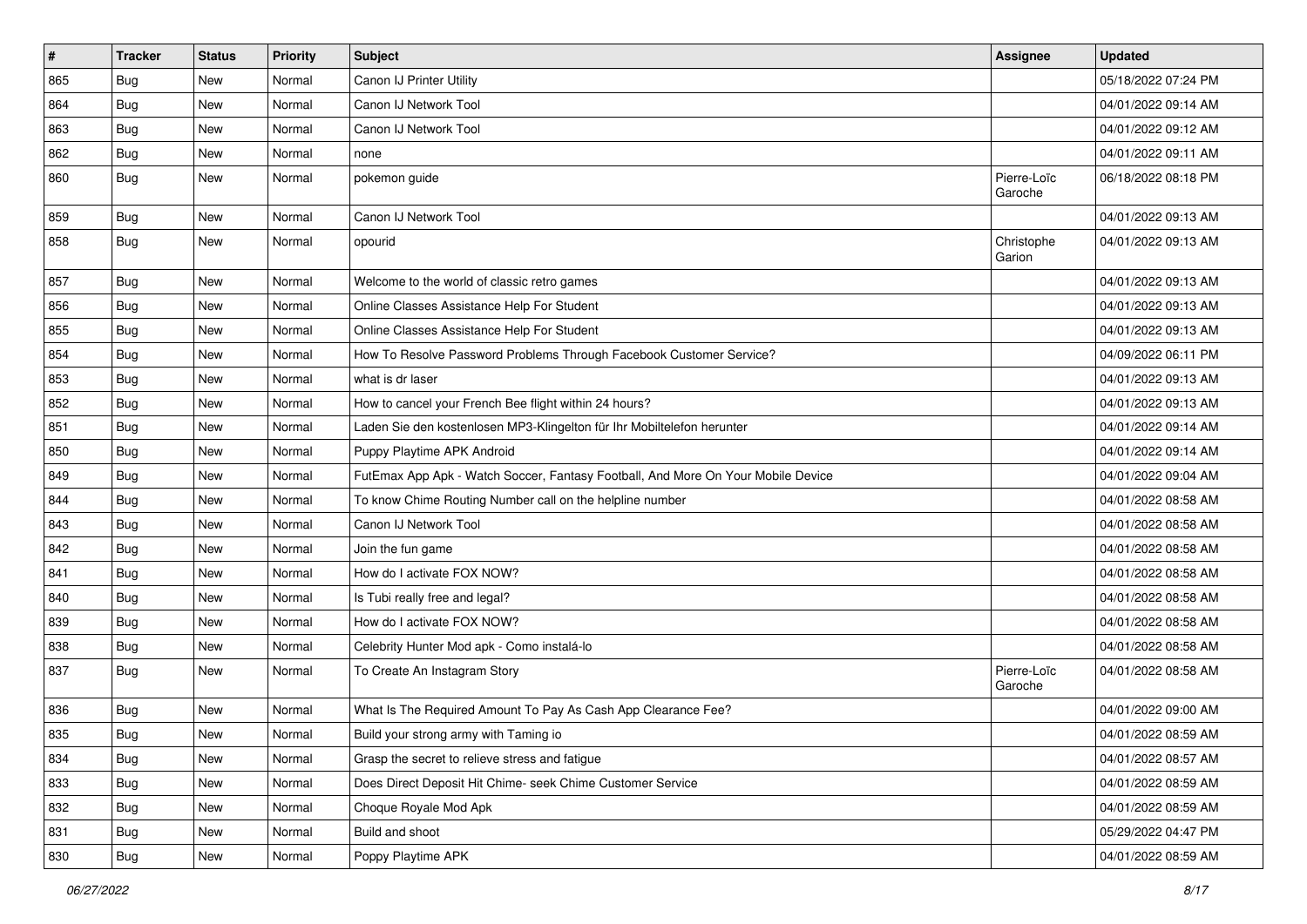| $\vert$ # | <b>Tracker</b> | <b>Status</b> | Priority | <b>Subject</b>                                                                   | Assignee               | <b>Updated</b>      |
|-----------|----------------|---------------|----------|----------------------------------------------------------------------------------|------------------------|---------------------|
| 865       | Bug            | New           | Normal   | Canon IJ Printer Utility                                                         |                        | 05/18/2022 07:24 PM |
| 864       | <b>Bug</b>     | New           | Normal   | Canon IJ Network Tool                                                            |                        | 04/01/2022 09:14 AM |
| 863       | <b>Bug</b>     | New           | Normal   | Canon IJ Network Tool                                                            |                        | 04/01/2022 09:12 AM |
| 862       | <b>Bug</b>     | New           | Normal   | none                                                                             |                        | 04/01/2022 09:11 AM |
| 860       | Bug            | <b>New</b>    | Normal   | pokemon guide                                                                    | Pierre-Loïc<br>Garoche | 06/18/2022 08:18 PM |
| 859       | Bug            | <b>New</b>    | Normal   | Canon IJ Network Tool                                                            |                        | 04/01/2022 09:13 AM |
| 858       | Bug            | New           | Normal   | opourid                                                                          | Christophe<br>Garion   | 04/01/2022 09:13 AM |
| 857       | <b>Bug</b>     | <b>New</b>    | Normal   | Welcome to the world of classic retro games                                      |                        | 04/01/2022 09:13 AM |
| 856       | <b>Bug</b>     | New           | Normal   | Online Classes Assistance Help For Student                                       |                        | 04/01/2022 09:13 AM |
| 855       | <b>Bug</b>     | New           | Normal   | Online Classes Assistance Help For Student                                       |                        | 04/01/2022 09:13 AM |
| 854       | Bug            | <b>New</b>    | Normal   | How To Resolve Password Problems Through Facebook Customer Service?              |                        | 04/09/2022 06:11 PM |
| 853       | <b>Bug</b>     | New           | Normal   | what is dr laser                                                                 |                        | 04/01/2022 09:13 AM |
| 852       | Bug            | New           | Normal   | How to cancel your French Bee flight within 24 hours?                            |                        | 04/01/2022 09:13 AM |
| 851       | Bug            | New           | Normal   | Laden Sie den kostenlosen MP3-Klingelton für Ihr Mobiltelefon herunter           |                        | 04/01/2022 09:14 AM |
| 850       | <b>Bug</b>     | New           | Normal   | Puppy Playtime APK Android                                                       |                        | 04/01/2022 09:14 AM |
| 849       | Bug            | <b>New</b>    | Normal   | FutEmax App Apk - Watch Soccer, Fantasy Football, And More On Your Mobile Device |                        | 04/01/2022 09:04 AM |
| 844       | <b>Bug</b>     | New           | Normal   | To know Chime Routing Number call on the helpline number                         |                        | 04/01/2022 08:58 AM |
| 843       | <b>Bug</b>     | New           | Normal   | Canon IJ Network Tool                                                            |                        | 04/01/2022 08:58 AM |
| 842       | <b>Bug</b>     | <b>New</b>    | Normal   | Join the fun game                                                                |                        | 04/01/2022 08:58 AM |
| 841       | Bug            | New           | Normal   | How do I activate FOX NOW?                                                       |                        | 04/01/2022 08:58 AM |
| 840       | <b>Bug</b>     | New           | Normal   | Is Tubi really free and legal?                                                   |                        | 04/01/2022 08:58 AM |
| 839       | <b>Bug</b>     | New           | Normal   | How do I activate FOX NOW?                                                       |                        | 04/01/2022 08:58 AM |
| 838       | <b>Bug</b>     | New           | Normal   | Celebrity Hunter Mod apk - Como instalá-lo                                       |                        | 04/01/2022 08:58 AM |
| 837       | Bug            | <b>New</b>    | Normal   | To Create An Instagram Story                                                     | Pierre-Loïc<br>Garoche | 04/01/2022 08:58 AM |
| 836       | <b>Bug</b>     | New           | Normal   | What Is The Required Amount To Pay As Cash App Clearance Fee?                    |                        | 04/01/2022 09:00 AM |
| 835       | Bug            | New           | Normal   | Build your strong army with Taming io                                            |                        | 04/01/2022 08:59 AM |
| 834       | <b>Bug</b>     | New           | Normal   | Grasp the secret to relieve stress and fatigue                                   |                        | 04/01/2022 08:57 AM |
| 833       | <b>Bug</b>     | New           | Normal   | Does Direct Deposit Hit Chime- seek Chime Customer Service                       |                        | 04/01/2022 08:59 AM |
| 832       | <b>Bug</b>     | New           | Normal   | Choque Royale Mod Apk                                                            |                        | 04/01/2022 08:59 AM |
| 831       | <b>Bug</b>     | New           | Normal   | Build and shoot                                                                  |                        | 05/29/2022 04:47 PM |
| 830       | Bug            | New           | Normal   | Poppy Playtime APK                                                               |                        | 04/01/2022 08:59 AM |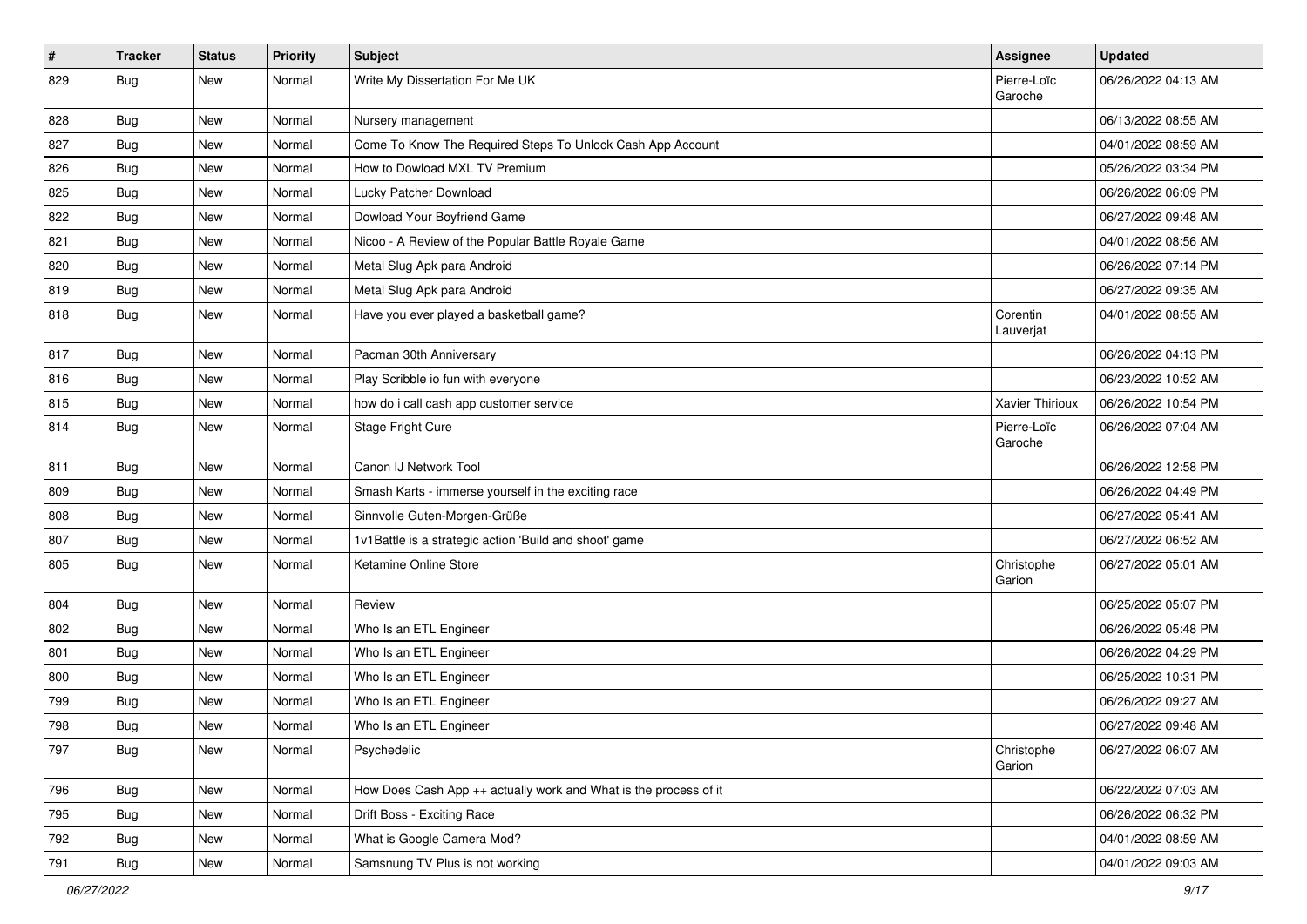| $\sharp$ | <b>Tracker</b> | <b>Status</b> | Priority | Subject                                                          | Assignee               | <b>Updated</b>      |
|----------|----------------|---------------|----------|------------------------------------------------------------------|------------------------|---------------------|
| 829      | Bug            | New           | Normal   | Write My Dissertation For Me UK                                  | Pierre-Loïc<br>Garoche | 06/26/2022 04:13 AM |
| 828      | Bug            | New           | Normal   | Nursery management                                               |                        | 06/13/2022 08:55 AM |
| 827      | <b>Bug</b>     | <b>New</b>    | Normal   | Come To Know The Required Steps To Unlock Cash App Account       |                        | 04/01/2022 08:59 AM |
| 826      | Bug            | New           | Normal   | How to Dowload MXL TV Premium                                    |                        | 05/26/2022 03:34 PM |
| 825      | <b>Bug</b>     | <b>New</b>    | Normal   | Lucky Patcher Download                                           |                        | 06/26/2022 06:09 PM |
| 822      | <b>Bug</b>     | New           | Normal   | Dowload Your Boyfriend Game                                      |                        | 06/27/2022 09:48 AM |
| 821      | Bug            | New           | Normal   | Nicoo - A Review of the Popular Battle Royale Game               |                        | 04/01/2022 08:56 AM |
| 820      | <b>Bug</b>     | New           | Normal   | Metal Slug Apk para Android                                      |                        | 06/26/2022 07:14 PM |
| 819      | <b>Bug</b>     | New           | Normal   | Metal Slug Apk para Android                                      |                        | 06/27/2022 09:35 AM |
| 818      | Bug            | New           | Normal   | Have you ever played a basketball game?                          | Corentin<br>Lauverjat  | 04/01/2022 08:55 AM |
| 817      | Bug            | New           | Normal   | Pacman 30th Anniversary                                          |                        | 06/26/2022 04:13 PM |
| 816      | <b>Bug</b>     | New           | Normal   | Play Scribble io fun with everyone                               |                        | 06/23/2022 10:52 AM |
| 815      | <b>Bug</b>     | New           | Normal   | how do i call cash app customer service                          | Xavier Thirioux        | 06/26/2022 10:54 PM |
| 814      | Bug            | New           | Normal   | Stage Fright Cure                                                | Pierre-Loïc<br>Garoche | 06/26/2022 07:04 AM |
| 811      | Bug            | New           | Normal   | Canon IJ Network Tool                                            |                        | 06/26/2022 12:58 PM |
| 809      | Bug            | New           | Normal   | Smash Karts - immerse yourself in the exciting race              |                        | 06/26/2022 04:49 PM |
| 808      | Bug            | New           | Normal   | Sinnvolle Guten-Morgen-Grüße                                     |                        | 06/27/2022 05:41 AM |
| 807      | Bug            | New           | Normal   | 1v1Battle is a strategic action 'Build and shoot' game           |                        | 06/27/2022 06:52 AM |
| 805      | <b>Bug</b>     | New           | Normal   | Ketamine Online Store                                            | Christophe<br>Garion   | 06/27/2022 05:01 AM |
| 804      | Bug            | New           | Normal   | Review                                                           |                        | 06/25/2022 05:07 PM |
| 802      | <b>Bug</b>     | New           | Normal   | Who Is an ETL Engineer                                           |                        | 06/26/2022 05:48 PM |
| 801      | Bug            | New           | Normal   | Who Is an ETL Engineer                                           |                        | 06/26/2022 04:29 PM |
| 800      | <b>Bug</b>     | New           | Normal   | Who Is an ETL Engineer                                           |                        | 06/25/2022 10:31 PM |
| 799      | <b>Bug</b>     | New           | Normal   | Who Is an ETL Engineer                                           |                        | 06/26/2022 09:27 AM |
| 798      | <b>Bug</b>     | New           | Normal   | Who Is an ETL Engineer                                           |                        | 06/27/2022 09:48 AM |
| 797      | Bug            | New           | Normal   | Psychedelic                                                      | Christophe<br>Garion   | 06/27/2022 06:07 AM |
| 796      | Bug            | New           | Normal   | How Does Cash App ++ actually work and What is the process of it |                        | 06/22/2022 07:03 AM |
| 795      | <b>Bug</b>     | New           | Normal   | Drift Boss - Exciting Race                                       |                        | 06/26/2022 06:32 PM |
| 792      | Bug            | New           | Normal   | What is Google Camera Mod?                                       |                        | 04/01/2022 08:59 AM |
| 791      | Bug            | New           | Normal   | Samsnung TV Plus is not working                                  |                        | 04/01/2022 09:03 AM |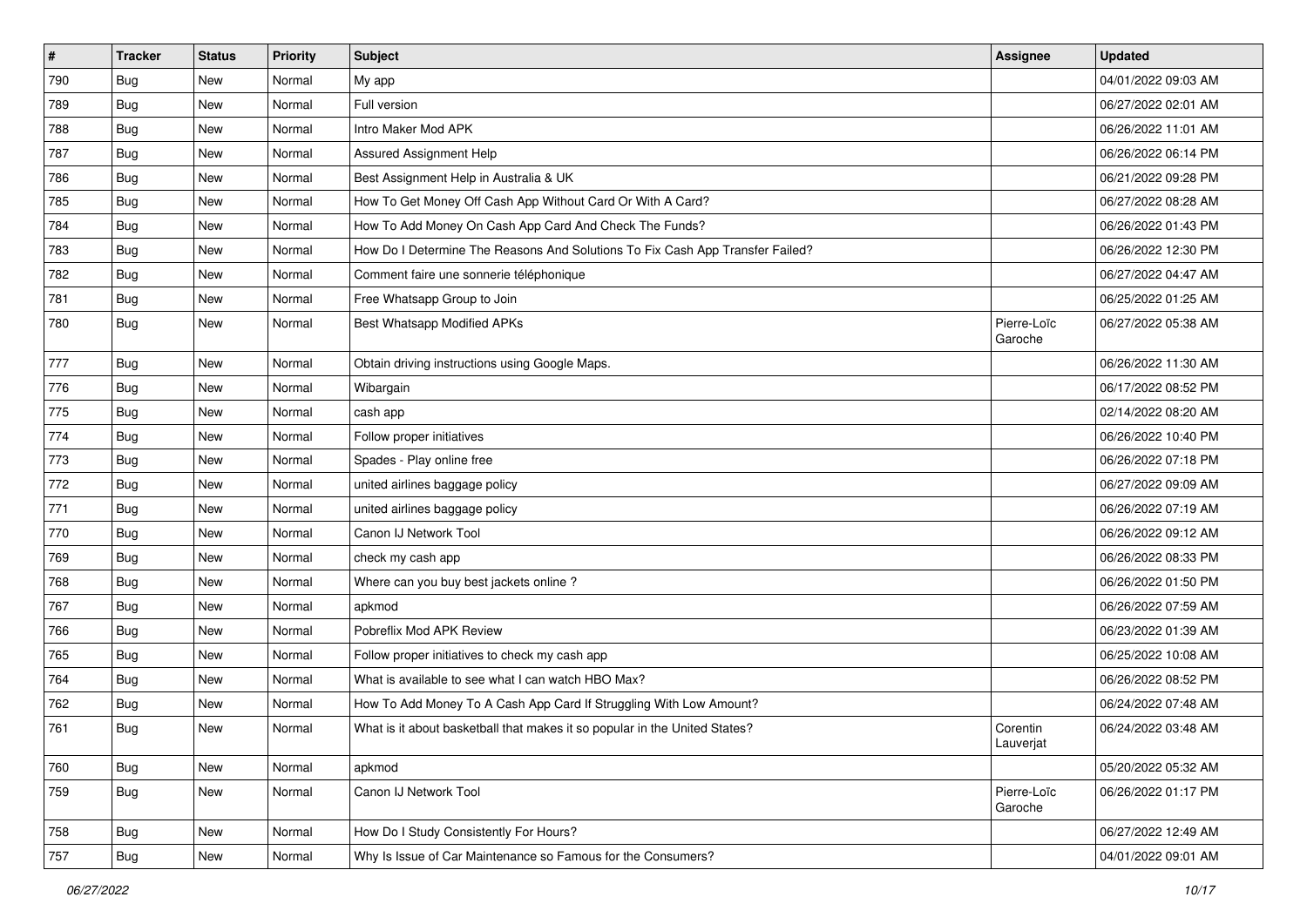| $\vert$ # | <b>Tracker</b> | <b>Status</b> | Priority | Subject                                                                       | Assignee               | <b>Updated</b>      |
|-----------|----------------|---------------|----------|-------------------------------------------------------------------------------|------------------------|---------------------|
| 790       | <b>Bug</b>     | New           | Normal   | My app                                                                        |                        | 04/01/2022 09:03 AM |
| 789       | <b>Bug</b>     | <b>New</b>    | Normal   | Full version                                                                  |                        | 06/27/2022 02:01 AM |
| 788       | <b>Bug</b>     | New           | Normal   | Intro Maker Mod APK                                                           |                        | 06/26/2022 11:01 AM |
| 787       | <b>Bug</b>     | New           | Normal   | Assured Assignment Help                                                       |                        | 06/26/2022 06:14 PM |
| 786       | <b>Bug</b>     | New           | Normal   | Best Assignment Help in Australia & UK                                        |                        | 06/21/2022 09:28 PM |
| 785       | <b>Bug</b>     | New           | Normal   | How To Get Money Off Cash App Without Card Or With A Card?                    |                        | 06/27/2022 08:28 AM |
| 784       | Bug            | New           | Normal   | How To Add Money On Cash App Card And Check The Funds?                        |                        | 06/26/2022 01:43 PM |
| 783       | <b>Bug</b>     | New           | Normal   | How Do I Determine The Reasons And Solutions To Fix Cash App Transfer Failed? |                        | 06/26/2022 12:30 PM |
| 782       | <b>Bug</b>     | New           | Normal   | Comment faire une sonnerie téléphonique                                       |                        | 06/27/2022 04:47 AM |
| 781       | Bug            | New           | Normal   | Free Whatsapp Group to Join                                                   |                        | 06/25/2022 01:25 AM |
| 780       | Bug            | New           | Normal   | Best Whatsapp Modified APKs                                                   | Pierre-Loïc<br>Garoche | 06/27/2022 05:38 AM |
| 777       | <b>Bug</b>     | New           | Normal   | Obtain driving instructions using Google Maps.                                |                        | 06/26/2022 11:30 AM |
| 776       | <b>Bug</b>     | New           | Normal   | Wibargain                                                                     |                        | 06/17/2022 08:52 PM |
| 775       | Bug            | New           | Normal   | cash app                                                                      |                        | 02/14/2022 08:20 AM |
| 774       | <b>Bug</b>     | New           | Normal   | Follow proper initiatives                                                     |                        | 06/26/2022 10:40 PM |
| 773       | <b>Bug</b>     | New           | Normal   | Spades - Play online free                                                     |                        | 06/26/2022 07:18 PM |
| 772       | <b>Bug</b>     | New           | Normal   | united airlines baggage policy                                                |                        | 06/27/2022 09:09 AM |
| 771       | <b>Bug</b>     | New           | Normal   | united airlines baggage policy                                                |                        | 06/26/2022 07:19 AM |
| 770       | <b>Bug</b>     | New           | Normal   | Canon IJ Network Tool                                                         |                        | 06/26/2022 09:12 AM |
| 769       | Bug            | New           | Normal   | check my cash app                                                             |                        | 06/26/2022 08:33 PM |
| 768       | <b>Bug</b>     | New           | Normal   | Where can you buy best jackets online?                                        |                        | 06/26/2022 01:50 PM |
| 767       | <b>Bug</b>     | New           | Normal   | apkmod                                                                        |                        | 06/26/2022 07:59 AM |
| 766       | <b>Bug</b>     | New           | Normal   | Pobreflix Mod APK Review                                                      |                        | 06/23/2022 01:39 AM |
| 765       | Bug            | New           | Normal   | Follow proper initiatives to check my cash app                                |                        | 06/25/2022 10:08 AM |
| 764       | <b>Bug</b>     | New           | Normal   | What is available to see what I can watch HBO Max?                            |                        | 06/26/2022 08:52 PM |
| 762       | <b>Bug</b>     | New           | Normal   | How To Add Money To A Cash App Card If Struggling With Low Amount?            |                        | 06/24/2022 07:48 AM |
| 761       | <b>Bug</b>     | New           | Normal   | What is it about basketball that makes it so popular in the United States?    | Corentin<br>Lauverjat  | 06/24/2022 03:48 AM |
| 760       | <b>Bug</b>     | New           | Normal   | apkmod                                                                        |                        | 05/20/2022 05:32 AM |
| 759       | <b>Bug</b>     | New           | Normal   | Canon IJ Network Tool                                                         | Pierre-Loïc<br>Garoche | 06/26/2022 01:17 PM |
| 758       | Bug            | New           | Normal   | How Do I Study Consistently For Hours?                                        |                        | 06/27/2022 12:49 AM |
| 757       | Bug            | New           | Normal   | Why Is Issue of Car Maintenance so Famous for the Consumers?                  |                        | 04/01/2022 09:01 AM |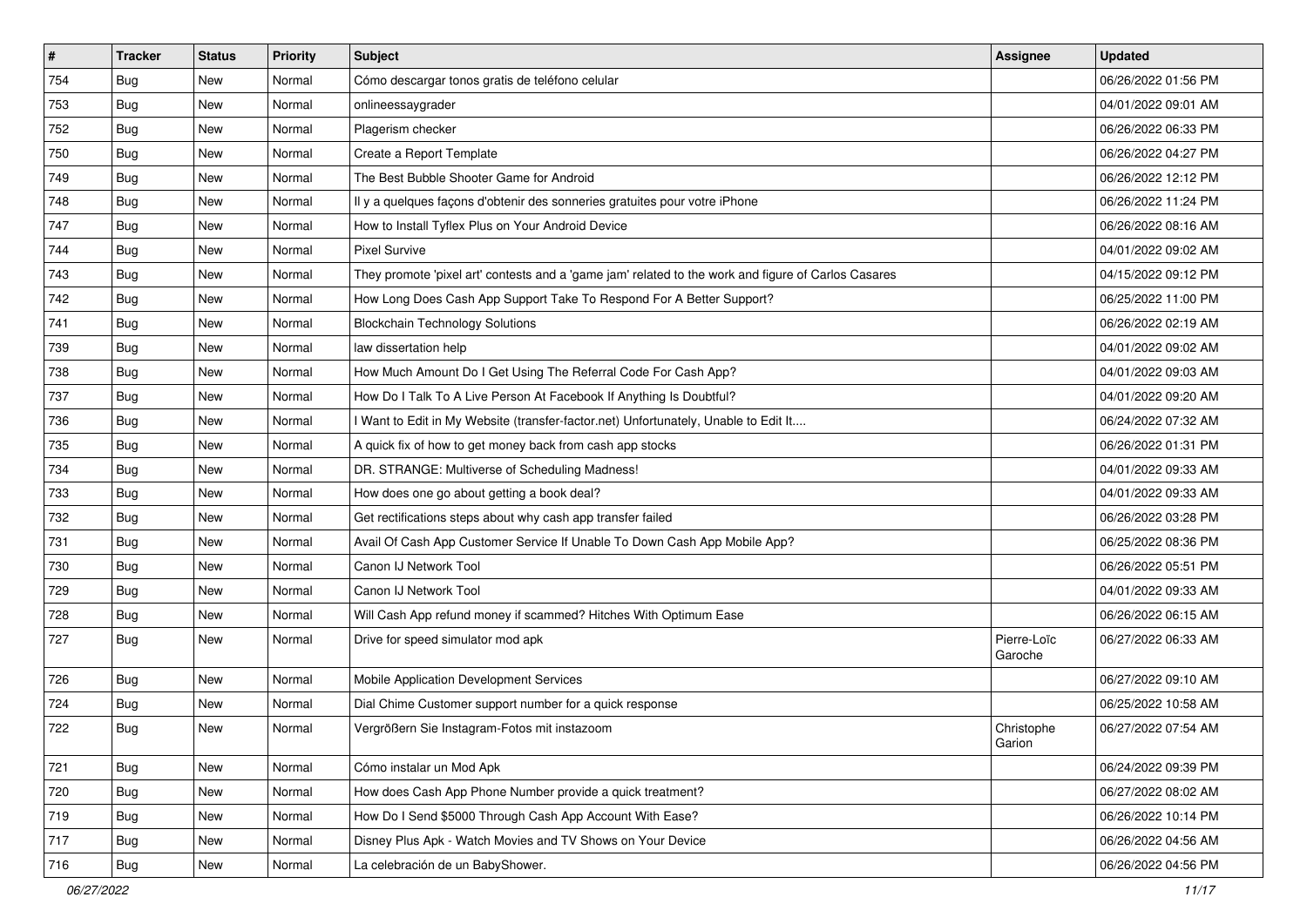| $\vert$ # | <b>Tracker</b> | <b>Status</b> | Priority | Subject                                                                                             | <b>Assignee</b>        | <b>Updated</b>      |
|-----------|----------------|---------------|----------|-----------------------------------------------------------------------------------------------------|------------------------|---------------------|
| 754       | <b>Bug</b>     | New           | Normal   | Cómo descargar tonos gratis de teléfono celular                                                     |                        | 06/26/2022 01:56 PM |
| 753       | Bug            | New           | Normal   | onlineessaygrader                                                                                   |                        | 04/01/2022 09:01 AM |
| 752       | <b>Bug</b>     | New           | Normal   | Plagerism checker                                                                                   |                        | 06/26/2022 06:33 PM |
| 750       | <b>Bug</b>     | New           | Normal   | Create a Report Template                                                                            |                        | 06/26/2022 04:27 PM |
| 749       | Bug            | New           | Normal   | The Best Bubble Shooter Game for Android                                                            |                        | 06/26/2022 12:12 PM |
| 748       | Bug            | New           | Normal   | Il y a quelques façons d'obtenir des sonneries gratuites pour votre iPhone                          |                        | 06/26/2022 11:24 PM |
| 747       | <b>Bug</b>     | New           | Normal   | How to Install Tyflex Plus on Your Android Device                                                   |                        | 06/26/2022 08:16 AM |
| 744       | <b>Bug</b>     | New           | Normal   | <b>Pixel Survive</b>                                                                                |                        | 04/01/2022 09:02 AM |
| 743       | Bug            | New           | Normal   | They promote 'pixel art' contests and a 'game jam' related to the work and figure of Carlos Casares |                        | 04/15/2022 09:12 PM |
| 742       | <b>Bug</b>     | New           | Normal   | How Long Does Cash App Support Take To Respond For A Better Support?                                |                        | 06/25/2022 11:00 PM |
| 741       | Bug            | New           | Normal   | <b>Blockchain Technology Solutions</b>                                                              |                        | 06/26/2022 02:19 AM |
| 739       | <b>Bug</b>     | New           | Normal   | law dissertation help                                                                               |                        | 04/01/2022 09:02 AM |
| 738       | Bug            | New           | Normal   | How Much Amount Do I Get Using The Referral Code For Cash App?                                      |                        | 04/01/2022 09:03 AM |
| 737       | <b>Bug</b>     | New           | Normal   | How Do I Talk To A Live Person At Facebook If Anything Is Doubtful?                                 |                        | 04/01/2022 09:20 AM |
| 736       | <b>Bug</b>     | New           | Normal   | Want to Edit in My Website (transfer-factor.net) Unfortunately, Unable to Edit It                   |                        | 06/24/2022 07:32 AM |
| 735       | <b>Bug</b>     | New           | Normal   | A quick fix of how to get money back from cash app stocks                                           |                        | 06/26/2022 01:31 PM |
| 734       | <b>Bug</b>     | New           | Normal   | DR. STRANGE: Multiverse of Scheduling Madness!                                                      |                        | 04/01/2022 09:33 AM |
| 733       | Bug            | New           | Normal   | How does one go about getting a book deal?                                                          |                        | 04/01/2022 09:33 AM |
| 732       | <b>Bug</b>     | New           | Normal   | Get rectifications steps about why cash app transfer failed                                         |                        | 06/26/2022 03:28 PM |
| 731       | Bug            | New           | Normal   | Avail Of Cash App Customer Service If Unable To Down Cash App Mobile App?                           |                        | 06/25/2022 08:36 PM |
| 730       | <b>Bug</b>     | New           | Normal   | Canon IJ Network Tool                                                                               |                        | 06/26/2022 05:51 PM |
| 729       | Bug            | New           | Normal   | Canon IJ Network Tool                                                                               |                        | 04/01/2022 09:33 AM |
| 728       | <b>Bug</b>     | New           | Normal   | Will Cash App refund money if scammed? Hitches With Optimum Ease                                    |                        | 06/26/2022 06:15 AM |
| 727       | <b>Bug</b>     | New           | Normal   | Drive for speed simulator mod apk                                                                   | Pierre-Loïc<br>Garoche | 06/27/2022 06:33 AM |
| 726       | Bug            | New           | Normal   | Mobile Application Development Services                                                             |                        | 06/27/2022 09:10 AM |
| 724       | <b>Bug</b>     | New           | Normal   | Dial Chime Customer support number for a quick response                                             |                        | 06/25/2022 10:58 AM |
| 722       | Bug            | New           | Normal   | Vergrößern Sie Instagram-Fotos mit instazoom                                                        | Christophe<br>Garion   | 06/27/2022 07:54 AM |
| 721       | Bug            | New           | Normal   | Cómo instalar un Mod Apk                                                                            |                        | 06/24/2022 09:39 PM |
| 720       | Bug            | New           | Normal   | How does Cash App Phone Number provide a quick treatment?                                           |                        | 06/27/2022 08:02 AM |
| 719       | <b>Bug</b>     | New           | Normal   | How Do I Send \$5000 Through Cash App Account With Ease?                                            |                        | 06/26/2022 10:14 PM |
| 717       | <b>Bug</b>     | New           | Normal   | Disney Plus Apk - Watch Movies and TV Shows on Your Device                                          |                        | 06/26/2022 04:56 AM |
| 716       | <b>Bug</b>     | New           | Normal   | La celebración de un BabyShower.                                                                    |                        | 06/26/2022 04:56 PM |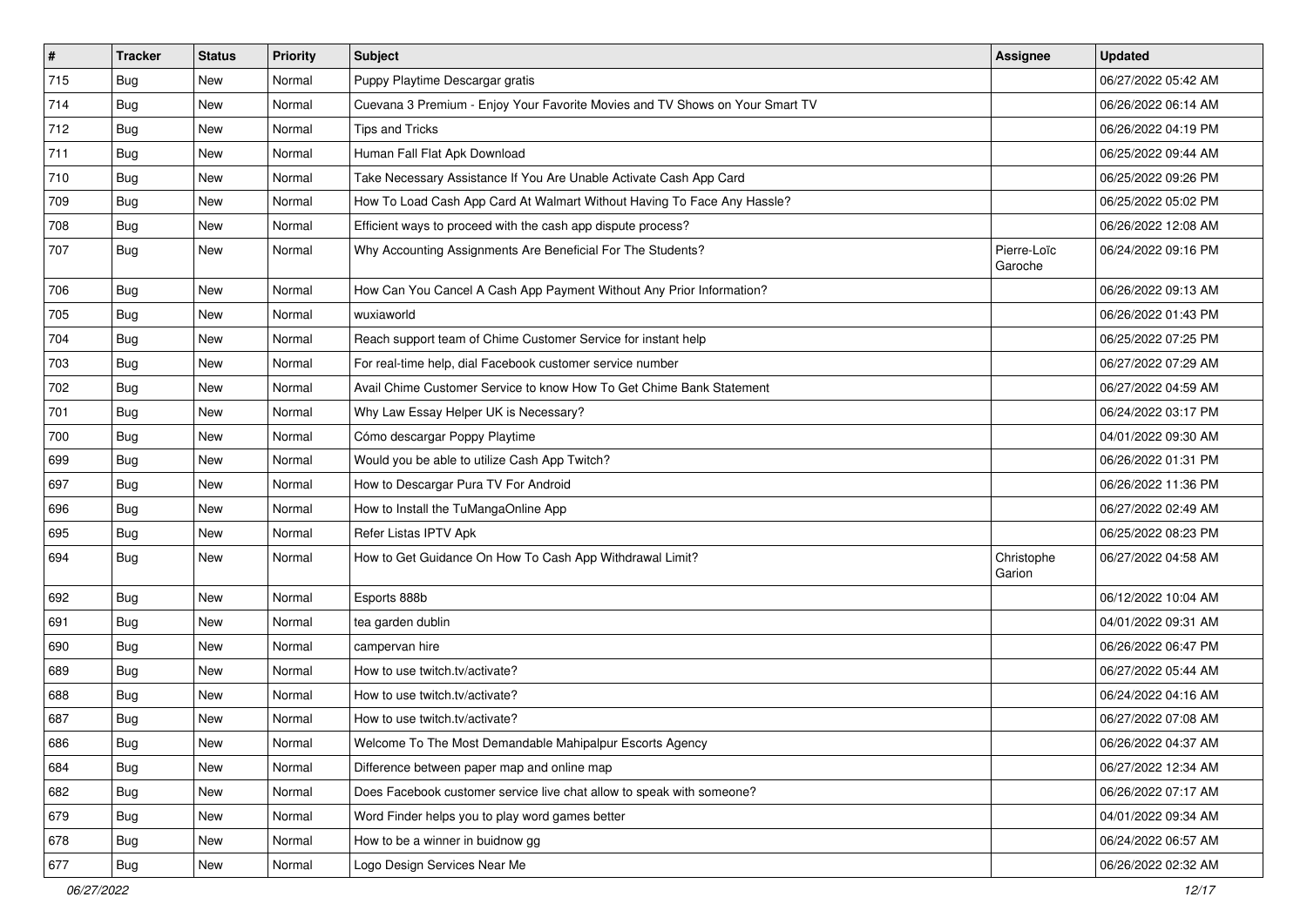| $\vert$ # | <b>Tracker</b> | <b>Status</b> | <b>Priority</b> | Subject                                                                      | <b>Assignee</b>        | <b>Updated</b>      |
|-----------|----------------|---------------|-----------------|------------------------------------------------------------------------------|------------------------|---------------------|
| 715       | <b>Bug</b>     | <b>New</b>    | Normal          | Puppy Playtime Descargar gratis                                              |                        | 06/27/2022 05:42 AM |
| 714       | Bug            | New           | Normal          | Cuevana 3 Premium - Enjoy Your Favorite Movies and TV Shows on Your Smart TV |                        | 06/26/2022 06:14 AM |
| 712       | Bug            | New           | Normal          | <b>Tips and Tricks</b>                                                       |                        | 06/26/2022 04:19 PM |
| 711       | <b>Bug</b>     | New           | Normal          | Human Fall Flat Apk Download                                                 |                        | 06/25/2022 09:44 AM |
| 710       | Bug            | <b>New</b>    | Normal          | Take Necessary Assistance If You Are Unable Activate Cash App Card           |                        | 06/25/2022 09:26 PM |
| 709       | <b>Bug</b>     | New           | Normal          | How To Load Cash App Card At Walmart Without Having To Face Any Hassle?      |                        | 06/25/2022 05:02 PM |
| 708       | Bug            | New           | Normal          | Efficient ways to proceed with the cash app dispute process?                 |                        | 06/26/2022 12:08 AM |
| 707       | <b>Bug</b>     | New           | Normal          | Why Accounting Assignments Are Beneficial For The Students?                  | Pierre-Loïc<br>Garoche | 06/24/2022 09:16 PM |
| 706       | Bug            | <b>New</b>    | Normal          | How Can You Cancel A Cash App Payment Without Any Prior Information?         |                        | 06/26/2022 09:13 AM |
| 705       | Bug            | New           | Normal          | wuxiaworld                                                                   |                        | 06/26/2022 01:43 PM |
| 704       | <b>Bug</b>     | New           | Normal          | Reach support team of Chime Customer Service for instant help                |                        | 06/25/2022 07:25 PM |
| 703       | Bug            | New           | Normal          | For real-time help, dial Facebook customer service number                    |                        | 06/27/2022 07:29 AM |
| 702       | <b>Bug</b>     | <b>New</b>    | Normal          | Avail Chime Customer Service to know How To Get Chime Bank Statement         |                        | 06/27/2022 04:59 AM |
| 701       | Bug            | New           | Normal          | Why Law Essay Helper UK is Necessary?                                        |                        | 06/24/2022 03:17 PM |
| 700       | <b>Bug</b>     | New           | Normal          | Cómo descargar Poppy Playtime                                                |                        | 04/01/2022 09:30 AM |
| 699       | Bug            | New           | Normal          | Would you be able to utilize Cash App Twitch?                                |                        | 06/26/2022 01:31 PM |
| 697       | Bug            | New           | Normal          | How to Descargar Pura TV For Android                                         |                        | 06/26/2022 11:36 PM |
| 696       | <b>Bug</b>     | New           | Normal          | How to Install the TuMangaOnline App                                         |                        | 06/27/2022 02:49 AM |
| 695       | Bug            | New           | Normal          | Refer Listas IPTV Apk                                                        |                        | 06/25/2022 08:23 PM |
| 694       | Bug            | New           | Normal          | How to Get Guidance On How To Cash App Withdrawal Limit?                     | Christophe<br>Garion   | 06/27/2022 04:58 AM |
| 692       | Bug            | <b>New</b>    | Normal          | Esports 888b                                                                 |                        | 06/12/2022 10:04 AM |
| 691       | Bug            | New           | Normal          | tea garden dublin                                                            |                        | 04/01/2022 09:31 AM |
| 690       | <b>Bug</b>     | New           | Normal          | campervan hire                                                               |                        | 06/26/2022 06:47 PM |
| 689       | Bug            | New           | Normal          | How to use twitch.tv/activate?                                               |                        | 06/27/2022 05:44 AM |
| 688       | <b>Bug</b>     | New           | Normal          | How to use twitch.tv/activate?                                               |                        | 06/24/2022 04:16 AM |
| 687       | Bug            | New           | Normal          | How to use twitch.tv/activate?                                               |                        | 06/27/2022 07:08 AM |
| 686       | Bug            | New           | Normal          | Welcome To The Most Demandable Mahipalpur Escorts Agency                     |                        | 06/26/2022 04:37 AM |
| 684       | <b>Bug</b>     | New           | Normal          | Difference between paper map and online map                                  |                        | 06/27/2022 12:34 AM |
| 682       | Bug            | New           | Normal          | Does Facebook customer service live chat allow to speak with someone?        |                        | 06/26/2022 07:17 AM |
| 679       | <b>Bug</b>     | New           | Normal          | Word Finder helps you to play word games better                              |                        | 04/01/2022 09:34 AM |
| 678       | Bug            | New           | Normal          | How to be a winner in buidnow gg                                             |                        | 06/24/2022 06:57 AM |
| 677       | <b>Bug</b>     | New           | Normal          | Logo Design Services Near Me                                                 |                        | 06/26/2022 02:32 AM |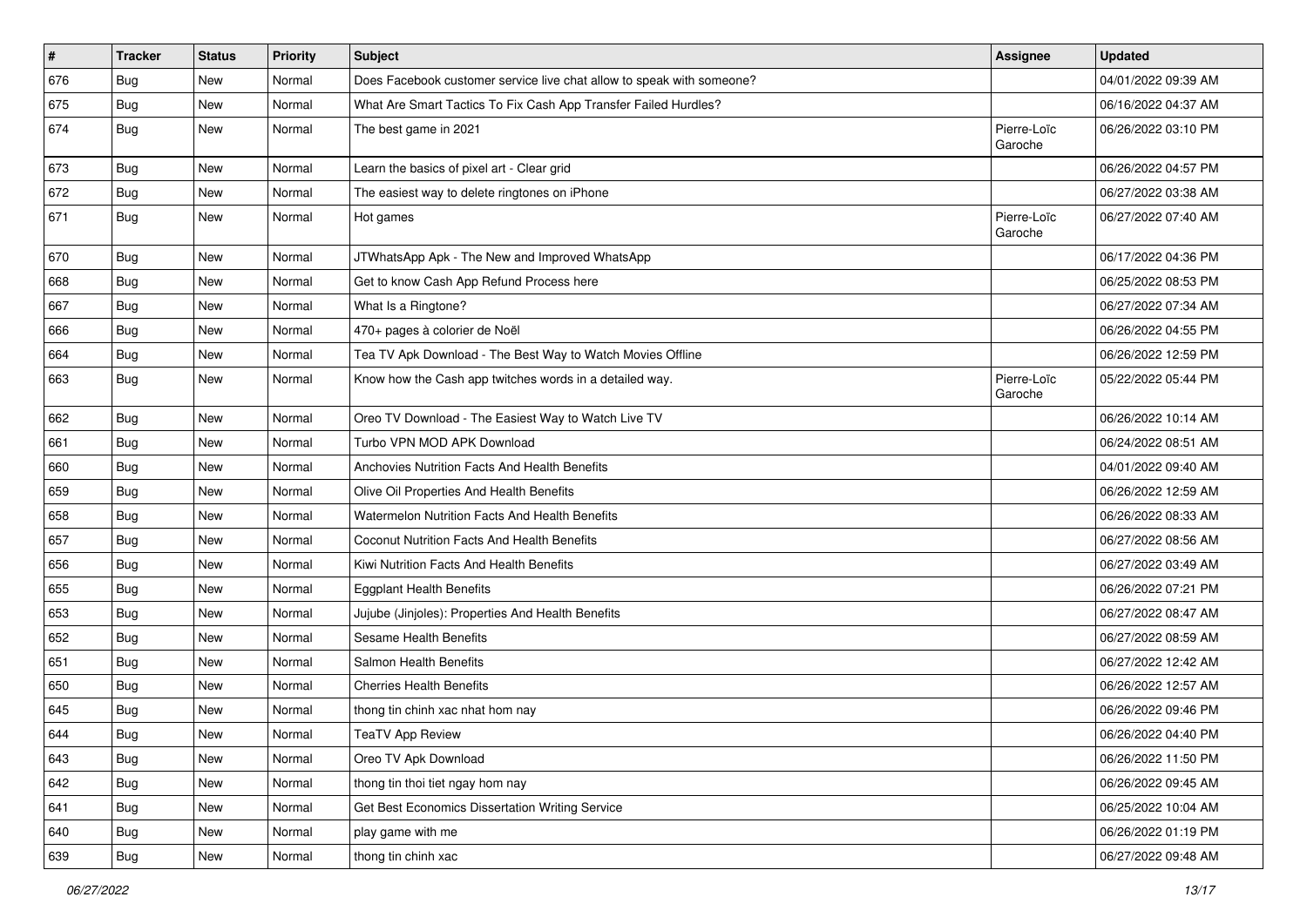| $\vert$ # | <b>Tracker</b> | <b>Status</b> | Priority | <b>Subject</b>                                                        | Assignee               | <b>Updated</b>      |
|-----------|----------------|---------------|----------|-----------------------------------------------------------------------|------------------------|---------------------|
| 676       | Bug            | New           | Normal   | Does Facebook customer service live chat allow to speak with someone? |                        | 04/01/2022 09:39 AM |
| 675       | Bug            | <b>New</b>    | Normal   | What Are Smart Tactics To Fix Cash App Transfer Failed Hurdles?       |                        | 06/16/2022 04:37 AM |
| 674       | Bug            | <b>New</b>    | Normal   | The best game in 2021                                                 | Pierre-Loïc<br>Garoche | 06/26/2022 03:10 PM |
| 673       | Bug            | <b>New</b>    | Normal   | Learn the basics of pixel art - Clear grid                            |                        | 06/26/2022 04:57 PM |
| 672       | Bug            | <b>New</b>    | Normal   | The easiest way to delete ringtones on iPhone                         |                        | 06/27/2022 03:38 AM |
| 671       | <b>Bug</b>     | New           | Normal   | Hot games                                                             | Pierre-Loïc<br>Garoche | 06/27/2022 07:40 AM |
| 670       | <b>Bug</b>     | New           | Normal   | JTWhatsApp Apk - The New and Improved WhatsApp                        |                        | 06/17/2022 04:36 PM |
| 668       | <b>Bug</b>     | New           | Normal   | Get to know Cash App Refund Process here                              |                        | 06/25/2022 08:53 PM |
| 667       | Bug            | New           | Normal   | What Is a Ringtone?                                                   |                        | 06/27/2022 07:34 AM |
| 666       | <b>Bug</b>     | New           | Normal   | 470+ pages à colorier de Noël                                         |                        | 06/26/2022 04:55 PM |
| 664       | Bug            | <b>New</b>    | Normal   | Tea TV Apk Download - The Best Way to Watch Movies Offline            |                        | 06/26/2022 12:59 PM |
| 663       | Bug            | New           | Normal   | Know how the Cash app twitches words in a detailed way.               | Pierre-Loïc<br>Garoche | 05/22/2022 05:44 PM |
| 662       | Bug            | <b>New</b>    | Normal   | Oreo TV Download - The Easiest Way to Watch Live TV                   |                        | 06/26/2022 10:14 AM |
| 661       | Bug            | New           | Normal   | Turbo VPN MOD APK Download                                            |                        | 06/24/2022 08:51 AM |
| 660       | Bug            | New           | Normal   | Anchovies Nutrition Facts And Health Benefits                         |                        | 04/01/2022 09:40 AM |
| 659       | Bug            | <b>New</b>    | Normal   | Olive Oil Properties And Health Benefits                              |                        | 06/26/2022 12:59 AM |
| 658       | <b>Bug</b>     | New           | Normal   | Watermelon Nutrition Facts And Health Benefits                        |                        | 06/26/2022 08:33 AM |
| 657       | Bug            | <b>New</b>    | Normal   | Coconut Nutrition Facts And Health Benefits                           |                        | 06/27/2022 08:56 AM |
| 656       | <b>Bug</b>     | New           | Normal   | Kiwi Nutrition Facts And Health Benefits                              |                        | 06/27/2022 03:49 AM |
| 655       | <b>Bug</b>     | New           | Normal   | <b>Eggplant Health Benefits</b>                                       |                        | 06/26/2022 07:21 PM |
| 653       | Bug            | New           | Normal   | Jujube (Jinjoles): Properties And Health Benefits                     |                        | 06/27/2022 08:47 AM |
| 652       | <b>Bug</b>     | New           | Normal   | Sesame Health Benefits                                                |                        | 06/27/2022 08:59 AM |
| 651       | Bug            | <b>New</b>    | Normal   | Salmon Health Benefits                                                |                        | 06/27/2022 12:42 AM |
| 650       | <b>Bug</b>     | New           | Normal   | <b>Cherries Health Benefits</b>                                       |                        | 06/26/2022 12:57 AM |
| 645       | <b>Bug</b>     | New           | Normal   | thong tin chinh xac nhat hom nay                                      |                        | 06/26/2022 09:46 PM |
| 644       | <b>Bug</b>     | New           | Normal   | TeaTV App Review                                                      |                        | 06/26/2022 04:40 PM |
| 643       | <b>Bug</b>     | New           | Normal   | Oreo TV Apk Download                                                  |                        | 06/26/2022 11:50 PM |
| 642       | <b>Bug</b>     | <b>New</b>    | Normal   | thong tin thoi tiet ngay hom nay                                      |                        | 06/26/2022 09:45 AM |
| 641       | <b>Bug</b>     | New           | Normal   | Get Best Economics Dissertation Writing Service                       |                        | 06/25/2022 10:04 AM |
| 640       | Bug            | New           | Normal   | play game with me                                                     |                        | 06/26/2022 01:19 PM |
| 639       | Bug            | New           | Normal   | thong tin chinh xac                                                   |                        | 06/27/2022 09:48 AM |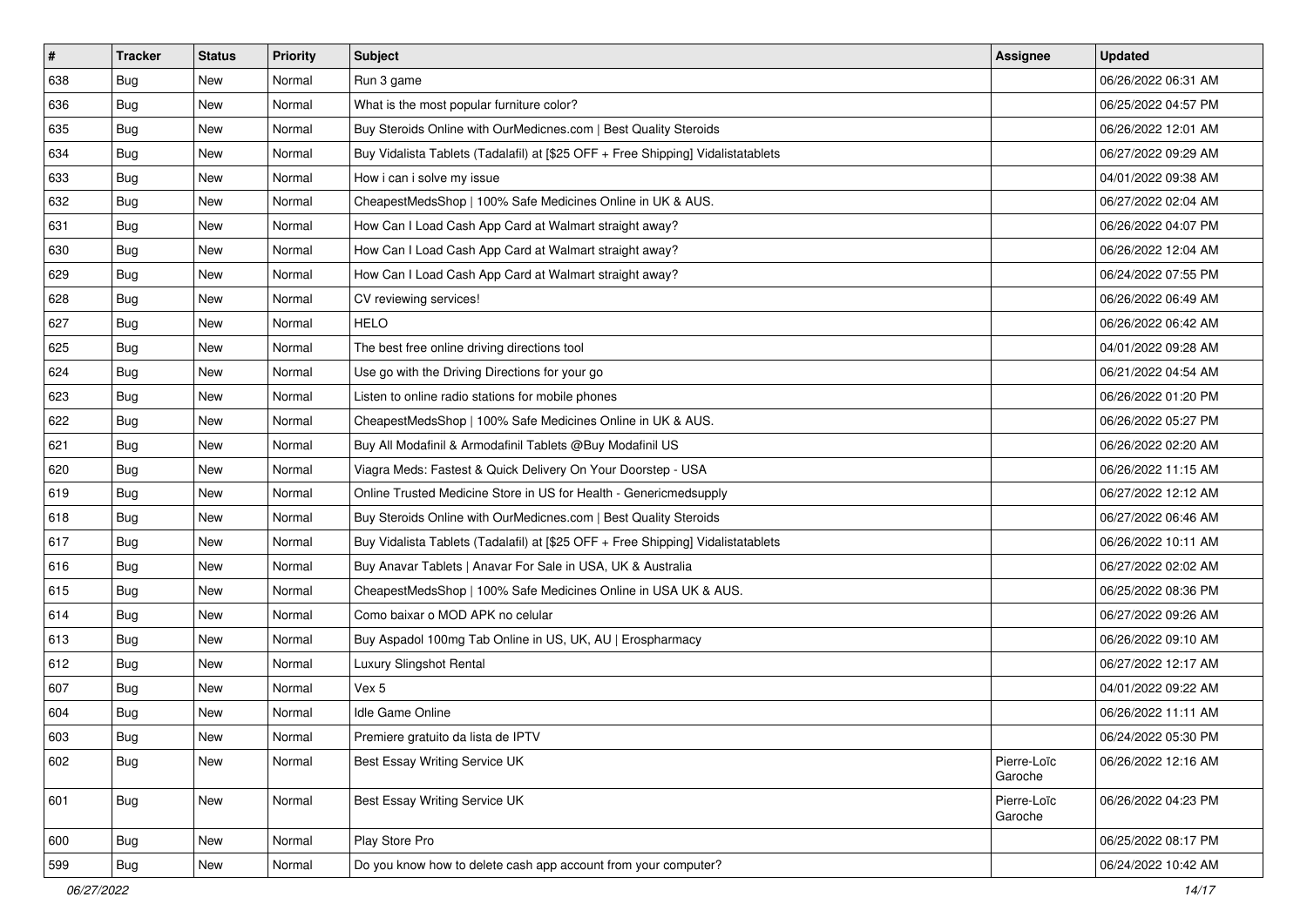| #   | <b>Tracker</b> | <b>Status</b> | Priority | <b>Subject</b>                                                                   | <b>Assignee</b>        | <b>Updated</b>      |
|-----|----------------|---------------|----------|----------------------------------------------------------------------------------|------------------------|---------------------|
| 638 | <b>Bug</b>     | New           | Normal   | Run 3 game                                                                       |                        | 06/26/2022 06:31 AM |
| 636 | <b>Bug</b>     | New           | Normal   | What is the most popular furniture color?                                        |                        | 06/25/2022 04:57 PM |
| 635 | Bug            | New           | Normal   | Buy Steroids Online with OurMedicnes.com   Best Quality Steroids                 |                        | 06/26/2022 12:01 AM |
| 634 | <b>Bug</b>     | New           | Normal   | Buy Vidalista Tablets (Tadalafil) at [\$25 OFF + Free Shipping] Vidalistatablets |                        | 06/27/2022 09:29 AM |
| 633 | Bug            | New           | Normal   | How i can i solve my issue                                                       |                        | 04/01/2022 09:38 AM |
| 632 | <b>Bug</b>     | New           | Normal   | CheapestMedsShop   100% Safe Medicines Online in UK & AUS.                       |                        | 06/27/2022 02:04 AM |
| 631 | <b>Bug</b>     | New           | Normal   | How Can I Load Cash App Card at Walmart straight away?                           |                        | 06/26/2022 04:07 PM |
| 630 | <b>Bug</b>     | New           | Normal   | How Can I Load Cash App Card at Walmart straight away?                           |                        | 06/26/2022 12:04 AM |
| 629 | Bug            | New           | Normal   | How Can I Load Cash App Card at Walmart straight away?                           |                        | 06/24/2022 07:55 PM |
| 628 | Bug            | New           | Normal   | CV reviewing services!                                                           |                        | 06/26/2022 06:49 AM |
| 627 | <b>Bug</b>     | New           | Normal   | <b>HELO</b>                                                                      |                        | 06/26/2022 06:42 AM |
| 625 | <b>Bug</b>     | New           | Normal   | The best free online driving directions tool                                     |                        | 04/01/2022 09:28 AM |
| 624 | Bug            | New           | Normal   | Use go with the Driving Directions for your go                                   |                        | 06/21/2022 04:54 AM |
| 623 | <b>Bug</b>     | New           | Normal   | Listen to online radio stations for mobile phones                                |                        | 06/26/2022 01:20 PM |
| 622 | <b>Bug</b>     | New           | Normal   | CheapestMedsShop   100% Safe Medicines Online in UK & AUS.                       |                        | 06/26/2022 05:27 PM |
| 621 | <b>Bug</b>     | New           | Normal   | Buy All Modafinil & Armodafinil Tablets @Buy Modafinil US                        |                        | 06/26/2022 02:20 AM |
| 620 | <b>Bug</b>     | New           | Normal   | Viagra Meds: Fastest & Quick Delivery On Your Doorstep - USA                     |                        | 06/26/2022 11:15 AM |
| 619 | Bug            | <b>New</b>    | Normal   | Online Trusted Medicine Store in US for Health - Genericmedsupply                |                        | 06/27/2022 12:12 AM |
| 618 | Bug            | New           | Normal   | Buy Steroids Online with OurMedicnes.com   Best Quality Steroids                 |                        | 06/27/2022 06:46 AM |
| 617 | Bug            | New           | Normal   | Buy Vidalista Tablets (Tadalafil) at [\$25 OFF + Free Shipping] Vidalistatablets |                        | 06/26/2022 10:11 AM |
| 616 | <b>Bug</b>     | <b>New</b>    | Normal   | Buy Anavar Tablets   Anavar For Sale in USA, UK & Australia                      |                        | 06/27/2022 02:02 AM |
| 615 | Bug            | New           | Normal   | CheapestMedsShop   100% Safe Medicines Online in USA UK & AUS.                   |                        | 06/25/2022 08:36 PM |
| 614 | Bug            | New           | Normal   | Como baixar o MOD APK no celular                                                 |                        | 06/27/2022 09:26 AM |
| 613 | <b>Bug</b>     | New           | Normal   | Buy Aspadol 100mg Tab Online in US, UK, AU   Erospharmacy                        |                        | 06/26/2022 09:10 AM |
| 612 | <b>Bug</b>     | New           | Normal   | Luxury Slingshot Rental                                                          |                        | 06/27/2022 12:17 AM |
| 607 | Bug            | New           | Normal   | Vex 5                                                                            |                        | 04/01/2022 09:22 AM |
| 604 | <b>Bug</b>     | New           | Normal   | <b>Idle Game Online</b>                                                          |                        | 06/26/2022 11:11 AM |
| 603 | <b>Bug</b>     | New           | Normal   | Premiere gratuito da lista de IPTV                                               |                        | 06/24/2022 05:30 PM |
| 602 | Bug            | New           | Normal   | Best Essay Writing Service UK                                                    | Pierre-Loïc<br>Garoche | 06/26/2022 12:16 AM |
| 601 | Bug            | <b>New</b>    | Normal   | Best Essay Writing Service UK                                                    | Pierre-Loïc<br>Garoche | 06/26/2022 04:23 PM |
| 600 | <b>Bug</b>     | New           | Normal   | Play Store Pro                                                                   |                        | 06/25/2022 08:17 PM |
| 599 | <b>Bug</b>     | New           | Normal   | Do you know how to delete cash app account from your computer?                   |                        | 06/24/2022 10:42 AM |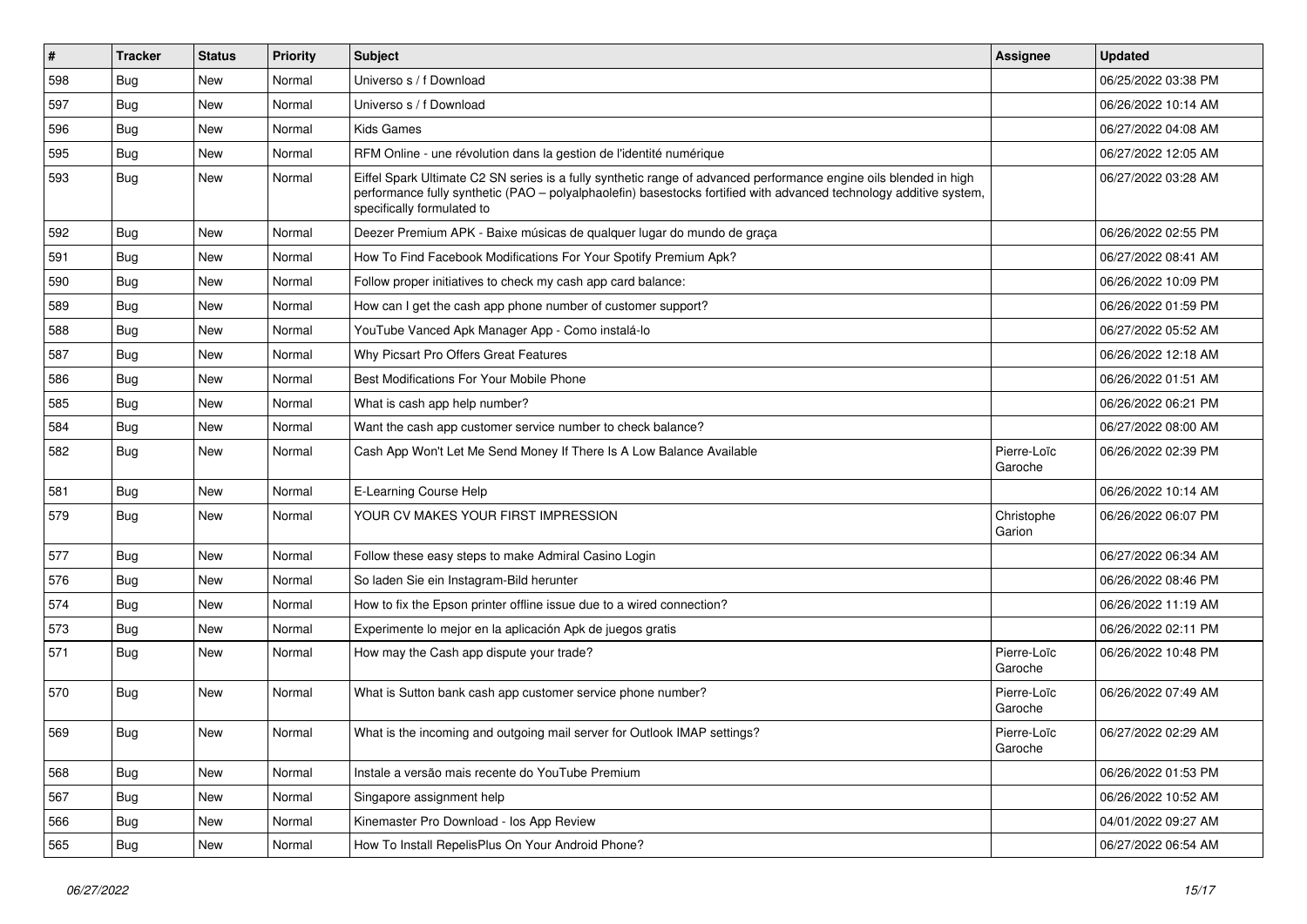| $\vert$ # | <b>Tracker</b> | <b>Status</b> | Priority | <b>Subject</b>                                                                                                                                                                                                                                                        | <b>Assignee</b>        | <b>Updated</b>      |
|-----------|----------------|---------------|----------|-----------------------------------------------------------------------------------------------------------------------------------------------------------------------------------------------------------------------------------------------------------------------|------------------------|---------------------|
| 598       | Bug            | New           | Normal   | Universo s / f Download                                                                                                                                                                                                                                               |                        | 06/25/2022 03:38 PM |
| 597       | Bug            | New           | Normal   | Universo s / f Download                                                                                                                                                                                                                                               |                        | 06/26/2022 10:14 AM |
| 596       | Bug            | New           | Normal   | <b>Kids Games</b>                                                                                                                                                                                                                                                     |                        | 06/27/2022 04:08 AM |
| 595       | Bug            | New           | Normal   | RFM Online - une révolution dans la gestion de l'identité numérique                                                                                                                                                                                                   |                        | 06/27/2022 12:05 AM |
| 593       | Bug            | New           | Normal   | Eiffel Spark Ultimate C2 SN series is a fully synthetic range of advanced performance engine oils blended in high<br>performance fully synthetic (PAO - polyalphaolefin) basestocks fortified with advanced technology additive system,<br>specifically formulated to |                        | 06/27/2022 03:28 AM |
| 592       | Bug            | <b>New</b>    | Normal   | Deezer Premium APK - Baixe músicas de qualquer lugar do mundo de graça                                                                                                                                                                                                |                        | 06/26/2022 02:55 PM |
| 591       | Bug            | New           | Normal   | How To Find Facebook Modifications For Your Spotify Premium Apk?                                                                                                                                                                                                      |                        | 06/27/2022 08:41 AM |
| 590       | Bug            | New           | Normal   | Follow proper initiatives to check my cash app card balance:                                                                                                                                                                                                          |                        | 06/26/2022 10:09 PM |
| 589       | Bug            | New           | Normal   | How can I get the cash app phone number of customer support?                                                                                                                                                                                                          |                        | 06/26/2022 01:59 PM |
| 588       | Bug            | New           | Normal   | YouTube Vanced Apk Manager App - Como instalá-lo                                                                                                                                                                                                                      |                        | 06/27/2022 05:52 AM |
| 587       | Bug            | <b>New</b>    | Normal   | Why Picsart Pro Offers Great Features                                                                                                                                                                                                                                 |                        | 06/26/2022 12:18 AM |
| 586       | <b>Bug</b>     | New           | Normal   | Best Modifications For Your Mobile Phone                                                                                                                                                                                                                              |                        | 06/26/2022 01:51 AM |
| 585       | <b>Bug</b>     | New           | Normal   | What is cash app help number?                                                                                                                                                                                                                                         |                        | 06/26/2022 06:21 PM |
| 584       | Bug            | New           | Normal   | Want the cash app customer service number to check balance?                                                                                                                                                                                                           |                        | 06/27/2022 08:00 AM |
| 582       | <b>Bug</b>     | New           | Normal   | Cash App Won't Let Me Send Money If There Is A Low Balance Available                                                                                                                                                                                                  | Pierre-Loïc<br>Garoche | 06/26/2022 02:39 PM |
| 581       | Bug            | <b>New</b>    | Normal   | E-Learning Course Help                                                                                                                                                                                                                                                |                        | 06/26/2022 10:14 AM |
| 579       | Bug            | New           | Normal   | YOUR CV MAKES YOUR FIRST IMPRESSION                                                                                                                                                                                                                                   | Christophe<br>Garion   | 06/26/2022 06:07 PM |
| 577       | Bug            | New           | Normal   | Follow these easy steps to make Admiral Casino Login                                                                                                                                                                                                                  |                        | 06/27/2022 06:34 AM |
| 576       | <b>Bug</b>     | New           | Normal   | So laden Sie ein Instagram-Bild herunter                                                                                                                                                                                                                              |                        | 06/26/2022 08:46 PM |
| 574       | Bug            | New           | Normal   | How to fix the Epson printer offline issue due to a wired connection?                                                                                                                                                                                                 |                        | 06/26/2022 11:19 AM |
| 573       | <b>Bug</b>     | New           | Normal   | Experimente lo mejor en la aplicación Apk de juegos gratis                                                                                                                                                                                                            |                        | 06/26/2022 02:11 PM |
| 571       | <b>Bug</b>     | New           | Normal   | How may the Cash app dispute your trade?                                                                                                                                                                                                                              | Pierre-Loïc<br>Garoche | 06/26/2022 10:48 PM |
| 570       | <b>Bug</b>     | New           | Normal   | What is Sutton bank cash app customer service phone number?                                                                                                                                                                                                           | Pierre-Loïc<br>Garoche | 06/26/2022 07:49 AM |
| 569       | Bug            | New           | Normal   | What is the incoming and outgoing mail server for Outlook IMAP settings?                                                                                                                                                                                              | Pierre-Loïc<br>Garoche | 06/27/2022 02:29 AM |
| 568       | Bug            | New           | Normal   | Instale a versão mais recente do YouTube Premium                                                                                                                                                                                                                      |                        | 06/26/2022 01:53 PM |
| 567       | Bug            | New           | Normal   | Singapore assignment help                                                                                                                                                                                                                                             |                        | 06/26/2022 10:52 AM |
| 566       | Bug            | New           | Normal   | Kinemaster Pro Download - los App Review                                                                                                                                                                                                                              |                        | 04/01/2022 09:27 AM |
| 565       | <b>Bug</b>     | New           | Normal   | How To Install RepelisPlus On Your Android Phone?                                                                                                                                                                                                                     |                        | 06/27/2022 06:54 AM |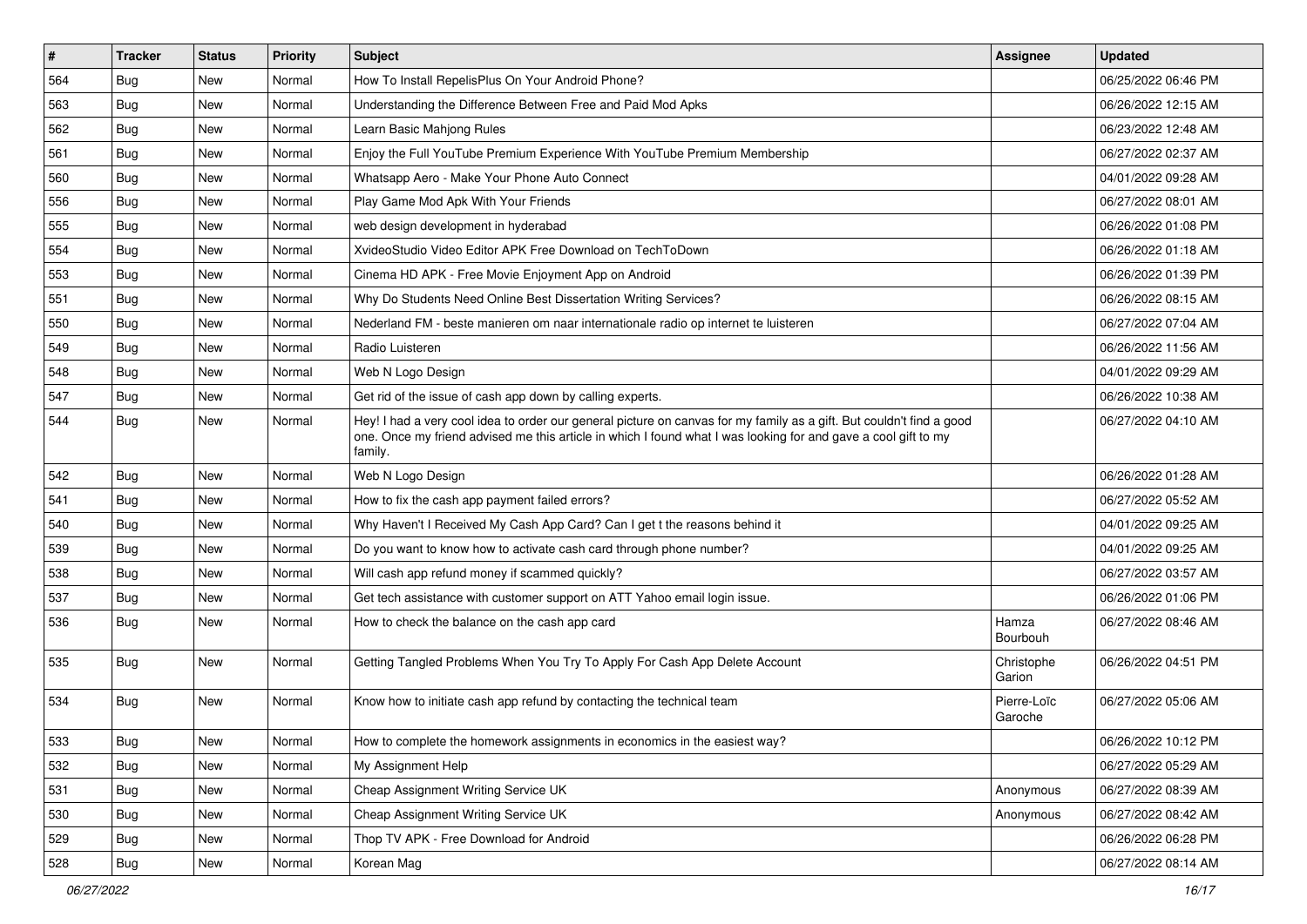| $\vert$ # | <b>Tracker</b> | <b>Status</b> | <b>Priority</b> | <b>Subject</b>                                                                                                                                                                                                                                    | <b>Assignee</b>        | <b>Updated</b>      |
|-----------|----------------|---------------|-----------------|---------------------------------------------------------------------------------------------------------------------------------------------------------------------------------------------------------------------------------------------------|------------------------|---------------------|
| 564       | <b>Bug</b>     | New           | Normal          | How To Install RepelisPlus On Your Android Phone?                                                                                                                                                                                                 |                        | 06/25/2022 06:46 PM |
| 563       | Bug            | <b>New</b>    | Normal          | Understanding the Difference Between Free and Paid Mod Apks                                                                                                                                                                                       |                        | 06/26/2022 12:15 AM |
| 562       | Bug            | New           | Normal          | Learn Basic Mahjong Rules                                                                                                                                                                                                                         |                        | 06/23/2022 12:48 AM |
| 561       | <b>Bug</b>     | <b>New</b>    | Normal          | Enjoy the Full YouTube Premium Experience With YouTube Premium Membership                                                                                                                                                                         |                        | 06/27/2022 02:37 AM |
| 560       | Bug            | <b>New</b>    | Normal          | Whatsapp Aero - Make Your Phone Auto Connect                                                                                                                                                                                                      |                        | 04/01/2022 09:28 AM |
| 556       | <b>Bug</b>     | <b>New</b>    | Normal          | Play Game Mod Apk With Your Friends                                                                                                                                                                                                               |                        | 06/27/2022 08:01 AM |
| 555       | Bug            | <b>New</b>    | Normal          | web design development in hyderabad                                                                                                                                                                                                               |                        | 06/26/2022 01:08 PM |
| 554       | <b>Bug</b>     | New           | Normal          | XvideoStudio Video Editor APK Free Download on TechToDown                                                                                                                                                                                         |                        | 06/26/2022 01:18 AM |
| 553       | Bug            | New           | Normal          | Cinema HD APK - Free Movie Enjoyment App on Android                                                                                                                                                                                               |                        | 06/26/2022 01:39 PM |
| 551       | Bug            | <b>New</b>    | Normal          | Why Do Students Need Online Best Dissertation Writing Services?                                                                                                                                                                                   |                        | 06/26/2022 08:15 AM |
| 550       | <b>Bug</b>     | <b>New</b>    | Normal          | Nederland FM - beste manieren om naar internationale radio op internet te luisteren                                                                                                                                                               |                        | 06/27/2022 07:04 AM |
| 549       | Bug            | New           | Normal          | Radio Luisteren                                                                                                                                                                                                                                   |                        | 06/26/2022 11:56 AM |
| 548       | Bug            | <b>New</b>    | Normal          | Web N Logo Design                                                                                                                                                                                                                                 |                        | 04/01/2022 09:29 AM |
| 547       | <b>Bug</b>     | New           | Normal          | Get rid of the issue of cash app down by calling experts.                                                                                                                                                                                         |                        | 06/26/2022 10:38 AM |
| 544       | <b>Bug</b>     | <b>New</b>    | Normal          | Hey! I had a very cool idea to order our general picture on canvas for my family as a gift. But couldn't find a good<br>one. Once my friend advised me this article in which I found what I was looking for and gave a cool gift to my<br>family. |                        | 06/27/2022 04:10 AM |
| 542       | Bug            | New           | Normal          | Web N Logo Design                                                                                                                                                                                                                                 |                        | 06/26/2022 01:28 AM |
| 541       | Bug            | <b>New</b>    | Normal          | How to fix the cash app payment failed errors?                                                                                                                                                                                                    |                        | 06/27/2022 05:52 AM |
| 540       | Bug            | New           | Normal          | Why Haven't I Received My Cash App Card? Can I get t the reasons behind it                                                                                                                                                                        |                        | 04/01/2022 09:25 AM |
| 539       | Bug            | New           | Normal          | Do you want to know how to activate cash card through phone number?                                                                                                                                                                               |                        | 04/01/2022 09:25 AM |
| 538       | Bug            | New           | Normal          | Will cash app refund money if scammed quickly?                                                                                                                                                                                                    |                        | 06/27/2022 03:57 AM |
| 537       | Bug            | <b>New</b>    | Normal          | Get tech assistance with customer support on ATT Yahoo email login issue.                                                                                                                                                                         |                        | 06/26/2022 01:06 PM |
| 536       | Bug            | New           | Normal          | How to check the balance on the cash app card                                                                                                                                                                                                     | Hamza<br>Bourbouh      | 06/27/2022 08:46 AM |
| 535       | Bug            | New           | Normal          | Getting Tangled Problems When You Try To Apply For Cash App Delete Account                                                                                                                                                                        | Christophe<br>Garion   | 06/26/2022 04:51 PM |
| 534       | <b>Bug</b>     | New           | Normal          | Know how to initiate cash app refund by contacting the technical team                                                                                                                                                                             | Pierre-Loïc<br>Garoche | 06/27/2022 05:06 AM |
| 533       | Bug            | New           | Normal          | How to complete the homework assignments in economics in the easiest way?                                                                                                                                                                         |                        | 06/26/2022 10:12 PM |
| 532       | <b>Bug</b>     | New           | Normal          | My Assignment Help                                                                                                                                                                                                                                |                        | 06/27/2022 05:29 AM |
| 531       | Bug            | New           | Normal          | Cheap Assignment Writing Service UK                                                                                                                                                                                                               | Anonymous              | 06/27/2022 08:39 AM |
| 530       | Bug            | New           | Normal          | Cheap Assignment Writing Service UK                                                                                                                                                                                                               | Anonymous              | 06/27/2022 08:42 AM |
| 529       | <b>Bug</b>     | New           | Normal          | Thop TV APK - Free Download for Android                                                                                                                                                                                                           |                        | 06/26/2022 06:28 PM |
| 528       | Bug            | New           | Normal          | Korean Mag                                                                                                                                                                                                                                        |                        | 06/27/2022 08:14 AM |